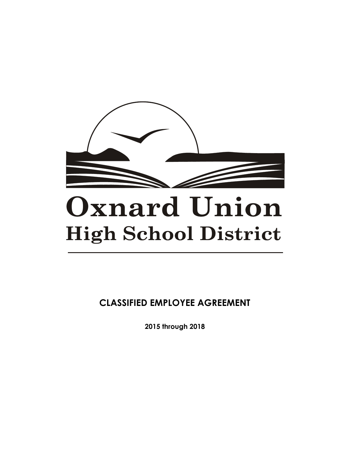

# **Oxnard Union High School District**

**CLASSIFIED EMPLOYEE AGREEMENT**

**2015 through 2018**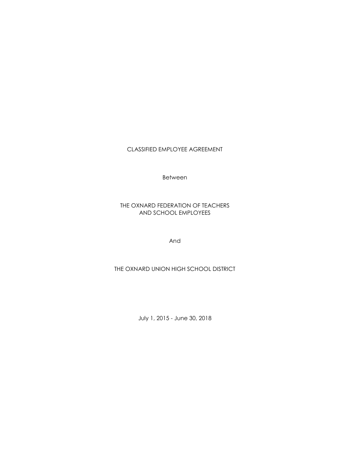CLASSIFIED EMPLOYEE AGREEMENT

Between

THE OXNARD FEDERATION OF TEACHERS AND SCHOOL EMPLOYEES

And

THE OXNARD UNION HIGH SCHOOL DISTRICT

July 1, 2015 - June 30, 2018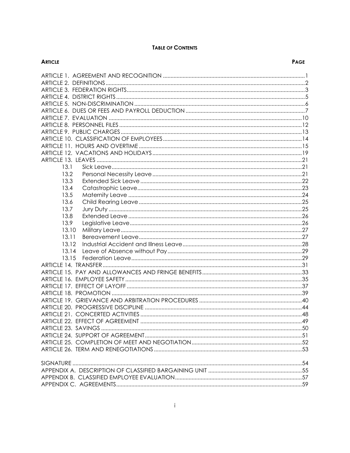#### **TABLE OF CONTENTS**

| <b>ARTICLE</b> | <b>PAGE</b> |
|----------------|-------------|
|                |             |
|                |             |
|                |             |
|                |             |
|                |             |
|                |             |
|                |             |
|                |             |
|                |             |
|                |             |
|                |             |
|                |             |
|                |             |
| 13.1           |             |
| 13.2           |             |
| 13.3           |             |
| 13.4           |             |
| 13.5           |             |
| 13.6           |             |
| 13.7           |             |
| 13.8           |             |
| 13.9           |             |
| 13.10          |             |
| 13.11          |             |
| 13.12          |             |
| 13.14          |             |
| 13.15          |             |
|                |             |
|                |             |
|                |             |
|                |             |
|                |             |
|                |             |
|                |             |
|                |             |
|                |             |
|                |             |
|                |             |
|                |             |
|                |             |
|                |             |
|                |             |
|                |             |
|                |             |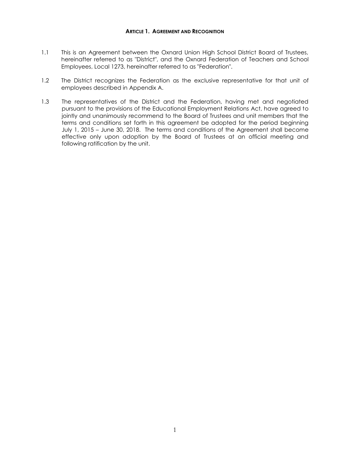#### **ARTICLE 1. AGREEMENT AND RECOGNITION**

- <span id="page-3-0"></span>1.1 This is an Agreement between the Oxnard Union High School District Board of Trustees, hereinafter referred to as "District", and the Oxnard Federation of Teachers and School Employees, Local 1273, hereinafter referred to as "Federation".
- 1.2 The District recognizes the Federation as the exclusive representative for that unit of employees described in Appendix A.
- 1.3 The representatives of the District and the Federation, having met and negotiated pursuant to the provisions of the Educational Employment Relations Act, have agreed to jointly and unanimously recommend to the Board of Trustees and unit members that the terms and conditions set forth in this agreement be adopted for the period beginning July 1, 2015 – June 30, 2018. The terms and conditions of the Agreement shall become effective only upon adoption by the Board of Trustees at an official meeting and following ratification by the unit.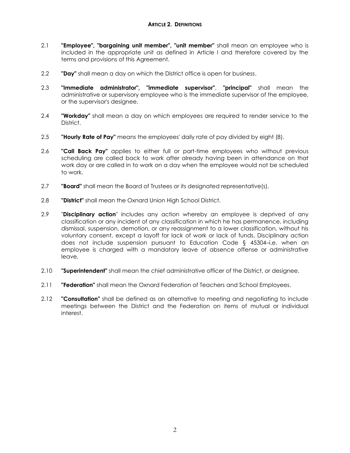- <span id="page-4-0"></span>2.1 **"Employee", "bargaining unit member", "unit member"** shall mean an employee who is included in the appropriate unit as defined in Article I and therefore covered by the terms and provisions of this Agreement.
- 2.2 **"Day"** shall mean a day on which the District office is open for business.
- 2.3 **"Immediate administrator", "immediate supervisor"**, **"principal"** shall mean the administrative or supervisory employee who is the immediate supervisor of the employee, or the supervisor's designee.
- 2.4 **"Workday"** shall mean a day on which employees are required to render service to the District.
- 2.5 **"Hourly Rate of Pay"** means the employees' daily rate of pay divided by eight (8).
- 2.6 **"Call Back Pay"** applies to either full or part-time employees who without previous scheduling are called back to work after already having been in attendance on that work day or are called in to work on a day when the employee would not be scheduled to work.
- 2.7 **"Board"** shall mean the Board of Trustees or its designated representative(s).
- 2.8 **"District"** shall mean the Oxnard Union High School District.
- 2.9 "**Disciplinary action**" includes any action whereby an employee is deprived of any classification or any incident of any classification in which he has permanence, including dismissal, suspension, demotion, or any reassignment to a lower classification, without his voluntary consent, except a layoff for lack of work or lack of funds. Disciplinary action does not include suspension pursuant to Education Code § 45304–i.e. when an employee is charged with a mandatory leave of absence offense or administrative leave.
- 2.10 **"Superintendent"** shall mean the chief administrative officer of the District, or designee.
- 2.11 **"Federation"** shall mean the Oxnard Federation of Teachers and School Employees.
- 2.12 **"Consultation"** shall be defined as an alternative to meeting and negotiating to include meetings between the District and the Federation on items of mutual or individual interest.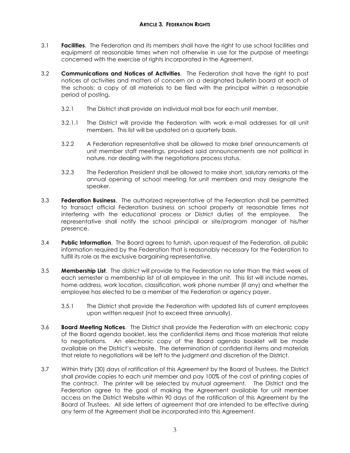- <span id="page-5-0"></span>3.1 **Facilities**. The Federation and its members shall have the right to use school facilities and equipment at reasonable times when not otherwise in use for the purpose of meetings concerned with the exercise of rights incorporated in the Agreement.
- 3.2 **Communications and Notices of Activities**. The Federation shall have the right to post notices of activities and matters of concern on a designated bulletin board at each of the schools; a copy of all materials to be filed with the principal within a reasonable period of posting.
	- 3.2.1 The District shall provide an individual mail box for each unit member.
	- 3.2.1.1 The District will provide the Federation with work e-mail addresses for all unit members. This list will be updated on a quarterly basis.
	- 3.2.2 A Federation representative shall be allowed to make brief announcements at unit member staff meetings, provided said announcements are not political in nature, nor dealing with the negotiations process status.
	- 3.2.3 The Federation President shall be allowed to make short, salutary remarks at the annual opening of school meeting for unit members and may designate the speaker.
- 3.3 **Federation Business**. The authorized representative of the Federation shall be permitted to transact official Federation business on school property at reasonable times not interfering with the educational process or District duties of the employee. The representative shall notify the school principal or site/program manager of his/her presence.
- 3.4 **Public Information**. The Board agrees to furnish, upon request of the Federation, all public information required by the Federation that is reasonably necessary for the Federation to fulfill its role as the exclusive bargaining representative.
- 3.5 **Membership List**. The district will provide to the Federation no later than the third week of each semester a membership list of all employee in the unit. This list will include names, home address, work location, classification, work phone number (if any) and whether the employee has elected to be a member of the Federation or agency payer.
	- 3.5.1 The District shall provide the Federation with updated lists of current employees upon written request (not to exceed three annually).
- 3.6 **Board Meeting Notices**. The District shall provide the Federation with an electronic copy of the Board agenda booklet, less the confidential items and those materials that relate to negotiations. An electronic copy of the Board agenda booklet will be made available on the District's website. The determination of confidential items and materials that relate to negotiations will be left to the judgment and discretion of the District.
- 3.7 Within thirty (30) days of ratification of this Agreement by the Board of Trustees, the District shall provide copies to each unit member and pay 100% of the cost of printing copies of the contract. The printer will be selected by mutual agreement. The District and the Federation agree to the goal of making the Agreement available for unit member access on the District Website within 90 days of the ratification of this Agreement by the Board of Trustees. All side letters of agreement that are intended to be effective during any term of the Agreement shall be incorporated into this Agreement.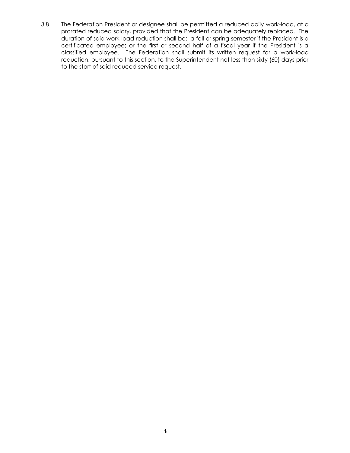3.8 The Federation President or designee shall be permitted a reduced daily work-load, at a prorated reduced salary, provided that the President can be adequately replaced. The duration of said work-load reduction shall be: a fall or spring semester if the President is a certificated employee; or the first or second half of a fiscal year if the President is a classified employee. The Federation shall submit its written request for a work-load reduction, pursuant to this section, to the Superintendent not less than sixty (60) days prior to the start of said reduced service request.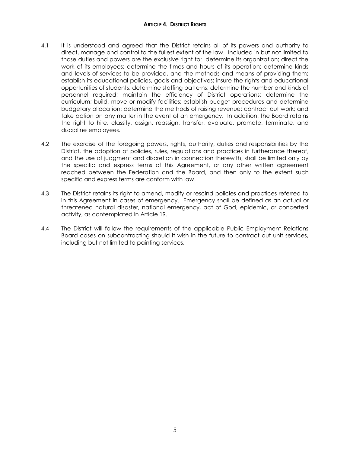#### **ARTICLE 4. DISTRICT RIGHTS**

- <span id="page-7-0"></span>4.1 It is understood and agreed that the District retains all of its powers and authority to direct, manage and control to the fullest extent of the law. Included in but not limited to those duties and powers are the exclusive right to: determine its organization; direct the work of its employees; determine the times and hours of its operation; determine kinds and levels of services to be provided, and the methods and means of providing them; establish its educational policies, goals and objectives; insure the rights and educational opportunities of students; determine staffing patterns; determine the number and kinds of personnel required; maintain the efficiency of District operations; determine the curriculum; build, move or modify facilities; establish budget procedures and determine budgetary allocation; determine the methods of raising revenue; contract out work; and take action on any matter in the event of an emergency. In addition, the Board retains the right to hire, classify, assign, reassign, transfer, evaluate, promote, terminate, and discipline employees.
- 4.2 The exercise of the foregoing powers, rights, authority, duties and responsibilities by the District, the adoption of policies, rules, regulations and practices in furtherance thereof, and the use of judgment and discretion in connection therewith, shall be limited only by the specific and express terms of this Agreement, or any other written agreement reached between the Federation and the Board, and then only to the extent such specific and express terms are conform with law.
- 4.3 The District retains its right to amend, modify or rescind policies and practices referred to in this Agreement in cases of emergency. Emergency shall be defined as an actual or threatened natural disaster, national emergency, act of God, epidemic, or concerted activity, as contemplated in Article 19.
- 4.4 The District will follow the requirements of the applicable Public Employment Relations Board cases on subcontracting should it wish in the future to contract out unit services, including but not limited to painting services.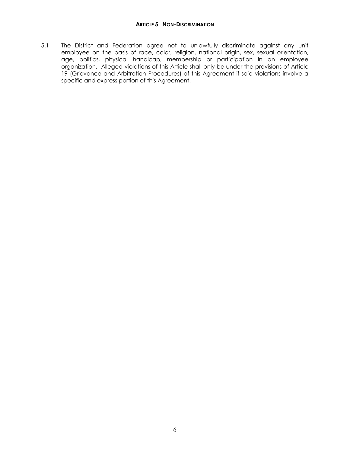<span id="page-8-0"></span>5.1 The District and Federation agree not to unlawfully discriminate against any unit employee on the basis of race, color, religion, national origin, sex, sexual orientation, age, politics, physical handicap, membership or participation in an employee organization. Alleged violations of this Article shall only be under the provisions of Article 19 (Grievance and Arbitration Procedures) of this Agreement if said violations involve a specific and express portion of this Agreement.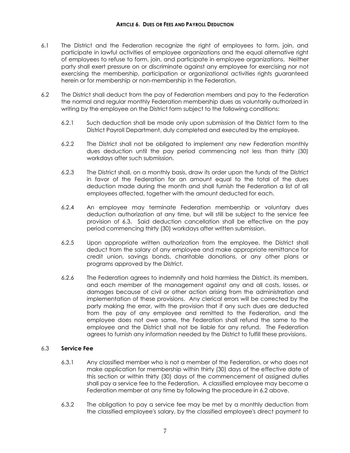- <span id="page-9-0"></span>6.1 The District and the Federation recognize the right of employees to form, join, and participate in lawful activities of employee organizations and the equal alternative right of employees to refuse to form, join, and participate in employee organizations. Neither party shall exert pressure on or discriminate against any employee for exercising nor not exercising the membership, participation or organizational activities rights guaranteed herein or for membership or non-membership in the Federation.
- 6.2 The District shall deduct from the pay of Federation members and pay to the Federation the normal and regular monthly Federation membership dues as voluntarily authorized in writing by the employee on the District form subject to the following conditions:
	- 6.2.1 Such deduction shall be made only upon submission of the District form to the District Payroll Department, duly completed and executed by the employee.
	- 6.2.2 The District shall not be obligated to implement any new Federation monthly dues deduction until the pay period commencing not less than thirty (30) workdays after such submission.
	- 6.2.3 The District shall, on a monthly basis, draw its order upon the funds of the District in favor of the Federation for an amount equal to the total of the dues deduction made during the month and shall furnish the Federation a list of all employees affected, together with the amount deducted for each.
	- 6.2.4 An employee may terminate Federation membership or voluntary dues deduction authorization at any time, but will still be subject to the service fee provision of 6.3. Said deduction cancellation shall be effective on the pay period commencing thirty (30) workdays after written submission.
	- 6.2.5 Upon appropriate written authorization from the employee, the District shall deduct from the salary of any employee and make appropriate remittance for credit union, savings bonds, charitable donations, or any other plans or programs approved by the District.
	- 6.2.6 The Federation agrees to indemnify and hold harmless the District, its members, and each member of the management against any and all costs, losses, or damages because of civil or other action arising from the administration and implementation of these provisions. Any clerical errors will be corrected by the party making the error, with the provision that if any such dues are deducted from the pay of any employee and remitted to the Federation, and the employee does not owe same, the Federation shall refund the same to the employee and the District shall not be liable for any refund. The Federation agrees to furnish any information needed by the District to fulfill these provisions.

#### 6.3 **Service Fee**

- 6.3.1 Any classified member who is not a member of the Federation, or who does not make application for membership within thirty (30) days of the effective date of this section or within thirty (30) days of the commencement of assigned duties shall pay a service fee to the Federation. A classified employee may become a Federation member at any time by following the procedure in 6.2 above.
- 6.3.2 The obligation to pay a service fee may be met by a monthly deduction from the classified employee's salary, by the classified employee's direct payment to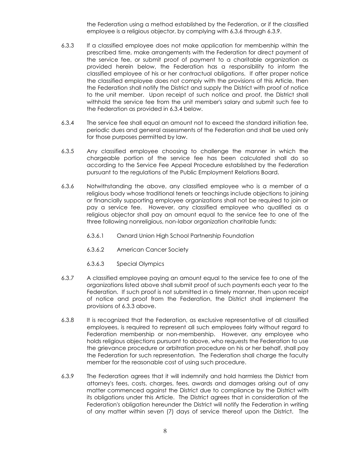the Federation using a method established by the Federation, or if the classified employee is a religious objector, by complying with 6.3.6 through 6.3.9.

- 6.3.3 If a classified employee does not make application for membership within the prescribed time, make arrangements with the Federation for direct payment of the service fee, or submit proof of payment to a charitable organization as provided herein below, the Federation has a responsibility to inform the classified employee of his or her contractual obligations. If after proper notice the classified employee does not comply with the provisions of this Article, then the Federation shall notify the District and supply the District with proof of notice to the unit member. Upon receipt of such notice and proof, the District shall withhold the service fee from the unit member's salary and submit such fee to the Federation as provided in 6.3.4 below.
- 6.3.4 The service fee shall equal an amount not to exceed the standard initiation fee, periodic dues and general assessments of the Federation and shall be used only for those purposes permitted by law.
- 6.3.5 Any classified employee choosing to challenge the manner in which the chargeable portion of the service fee has been calculated shall do so according to the Service Fee Appeal Procedure established by the Federation pursuant to the regulations of the Public Employment Relations Board.
- 6.3.6 Notwithstanding the above, any classified employee who is a member of a religious body whose traditional tenets or teachings include objections to joining or financially supporting employee organizations shall not be required to join or pay a service fee. However, any classified employee who qualified as a religious objector shall pay an amount equal to the service fee to one of the three following nonreligious, non-labor organization charitable funds:
	- 6.3.6.1 Oxnard Union High School Partnership Foundation
	- 6.3.6.2 American Cancer Society
	- 6.3.6.3 Special Olympics
- 6.3.7 A classified employee paying an amount equal to the service fee to one of the organizations listed above shall submit proof of such payments each year to the Federation. If such proof is not submitted in a timely manner, then upon receipt of notice and proof from the Federation, the District shall implement the provisions of 6.3.3 above.
- 6.3.8 It is recognized that the Federation, as exclusive representative of all classified employees, is required to represent all such employees fairly without regard to Federation membership or non-membership. However, any employee who holds religious objections pursuant to above, who requests the Federation to use the grievance procedure or arbitration procedure on his or her behalf, shall pay the Federation for such representation. The Federation shall charge the faculty member for the reasonable cost of using such procedure.
- 6.3.9 The Federation agrees that it will indemnify and hold harmless the District from attorney's fees, costs, charges, fees, awards and damages arising out of any matter commenced against the District due to compliance by the District with its obligations under this Article. The District agrees that in consideration of the Federation's obligation hereunder the District will notify the Federation in writing of any matter within seven (7) days of service thereof upon the District. The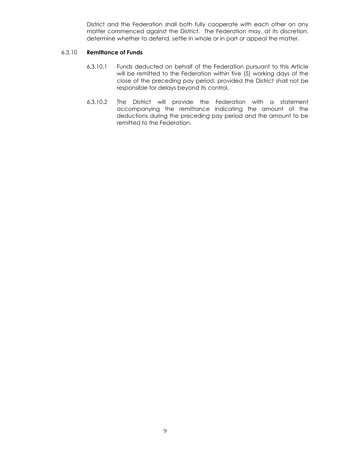District and the Federation shall both fully cooperate with each other on any matter commenced against the District. The Federation may, at its discretion, determine whether to defend, settle in whole or in part or appeal the matter.

#### 6.3.10 **Remittance of Funds**

- 6.3.10.1 Funds deducted on behalf of the Federation pursuant to this Article will be remitted to the Federation within five (5) working days of the close of the preceding pay period, provided the District shall not be responsible for delays beyond its control.
- 6.3.10.2 The District will provide the Federation with a statement accompanying the remittance indicating the amount of the deductions during the preceding pay period and the amount to be remitted to the Federation.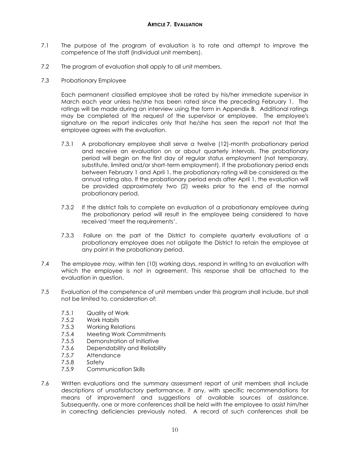- <span id="page-12-0"></span>7.1 The purpose of the program of evaluation is to rate and attempt to improve the competence of the staff (individual unit members).
- 7.2 The program of evaluation shall apply to all unit members.
- 7.3 Probationary Employee

Each permanent classified employee shall be rated by his/her immediate supervisor in March each year unless he/she has been rated since the preceding February 1. The ratings will be made during an interview using the form in Appendix B. Additional ratings may be completed at the request of the supervisor or employee. The employee's signature on the report indicates only that he/she has seen the report not that the employee agrees with the evaluation.

- 7.3.1 A probationary employee shall serve a twelve (12)-month probationary period and receive an evaluation on or about quarterly intervals. The probationary period will begin on the first day of regular status employment (not temporary, substitute, limited and/or short-term employment). If the probationary period ends between February 1 and April 1, the probationary rating will be considered as the annual rating also. If the probationary period ends after April 1, the evaluation will be provided approximately two (2) weeks prior to the end of the normal probationary period.
- 7.3.2 If the district fails to complete an evaluation of a probationary employee during the probationary period will result in the employee being considered to have received 'meet the requirements'.
- 7.3.3 Failure on the part of the District to complete quarterly evaluations of a probationary employee does not obligate the District to retain the employee at any point in the probationary period.
- 7.4 The employee may, within ten (10) working days, respond in writing to an evaluation with which the employee is not in agreement. This response shall be attached to the evaluation in question.
- 7.5 Evaluation of the competence of unit members under this program shall include, but shall not be limited to, consideration of:
	- 7.5.1 Quality of Work
	- 7.5.2 Work Habits
	- 7.5.3 Working Relations
	- 7.5.4 Meeting Work Commitments
	- 7.5.5 Demonstration of Initiative
	- 7.5.6 Dependability and Reliability
	- 7.5.7 Attendance
	- 7.5.8 Safety
	- 7.5.9 Communication Skills
- 7.6 Written evaluations and the summary assessment report of unit members shall include descriptions of unsatisfactory performance, if any, with specific recommendations for means of improvement and suggestions of available sources of assistance. Subsequently, one or more conferences shall be held with the employee to assist him/her in correcting deficiencies previously noted. A record of such conferences shall be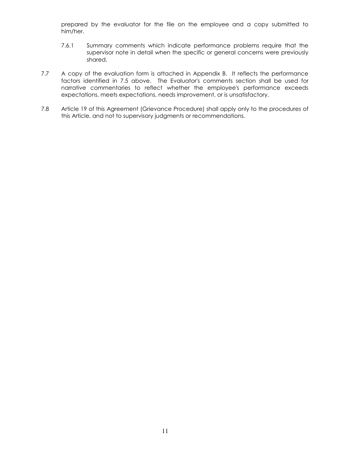prepared by the evaluator for the file on the employee and a copy submitted to him/her.

- 7.6.1 Summary comments which indicate performance problems require that the supervisor note in detail when the specific or general concerns were previously shared.
- 7.7 A copy of the evaluation form is attached in Appendix B. It reflects the performance factors identified in 7.5 above. The Evaluator's comments section shall be used for narrative commentaries to reflect whether the employee's performance exceeds expectations, meets expectations, needs improvement, or is unsatisfactory.
- 7.8 Article 19 of this Agreement (Grievance Procedure) shall apply only to the procedures of this Article, and not to supervisory judgments or recommendations.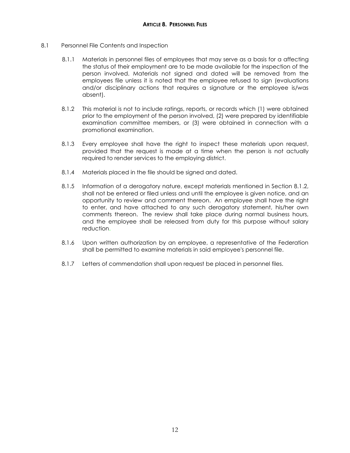- <span id="page-14-0"></span>8.1 Personnel File Contents and Inspection
	- 8.1.1 Materials in personnel files of employees that may serve as a basis for a affecting the status of their employment are to be made available for the inspection of the person involved. Materials not signed and dated will be removed from the employees file unless it is noted that the employee refused to sign (evaluations and/or disciplinary actions that requires a signature or the employee is/was absent).
	- 8.1.2 This material is not to include ratings, reports, or records which (1) were obtained prior to the employment of the person involved, (2) were prepared by identifiable examination committee members, or (3) were obtained in connection with a promotional examination.
	- 8.1.3 Every employee shall have the right to inspect these materials upon request, provided that the request is made at a time when the person is not actually required to render services to the employing district.
	- 8.1.4 Materials placed in the file should be signed and dated.
	- 8.1.5 Information of a derogatory nature, except materials mentioned in Section 8.1.2, shall not be entered or filed unless and until the employee is given notice, and an opportunity to review and comment thereon. An employee shall have the right to enter, and have attached to any such derogatory statement, his/her own comments thereon. The review shall take place during normal business hours, and the employee shall be released from duty for this purpose without salary reduction.
	- 8.1.6 Upon written authorization by an employee, a representative of the Federation shall be permitted to examine materials in said employee's personnel file.
	- 8.1.7 Letters of commendation shall upon request be placed in personnel files.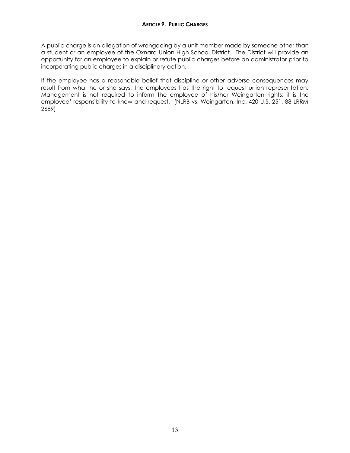<span id="page-15-0"></span>A public charge is an allegation of wrongdoing by a unit member made by someone other than a student or an employee of the Oxnard Union High School District. The District will provide an opportunity for an employee to explain or refute public charges before an administrator prior to incorporating public charges in a disciplinary action.

If the employee has a reasonable belief that discipline or other adverse consequences may result from what he or she says, the employees has the right to request union representation. Management is not required to inform the employee of his/her Weingarten rights; it is the employee' responsibility to know and request. (NLRB vs. Weingarten, Inc. 420 U.S. 251, 88 LRRM 2689)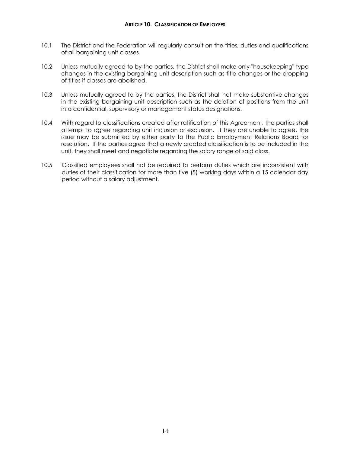- <span id="page-16-0"></span>10.1 The District and the Federation will regularly consult on the titles, duties and qualifications of all bargaining unit classes.
- 10.2 Unless mutually agreed to by the parties, the District shall make only "housekeeping" type changes in the existing bargaining unit description such as title changes or the dropping of titles if classes are abolished.
- 10.3 Unless mutually agreed to by the parties, the District shall not make substantive changes in the existing bargaining unit description such as the deletion of positions from the unit into confidential, supervisory or management status designations.
- 10.4 With regard to classifications created after ratification of this Agreement, the parties shall attempt to agree regarding unit inclusion or exclusion. If they are unable to agree, the issue may be submitted by either party to the Public Employment Relations Board for resolution. If the parties agree that a newly created classification is to be included in the unit, they shall meet and negotiate regarding the salary range of said class.
- 10.5 Classified employees shall not be required to perform duties which are inconsistent with duties of their classification for more than five (5) working days within a 15 calendar day period without a salary adjustment.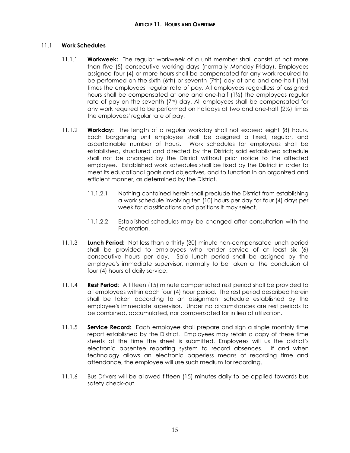# <span id="page-17-0"></span>11.1 **Work Schedules**

- 11.1.1 **Workweek:** The regular workweek of a unit member shall consist of not more than five (5) consecutive working days (normally Monday-Friday). Employees assigned four (4) or more hours shall be compensated for any work required to be performed on the sixth (6th) or seventh (7th) day at one and one-half  $(1/2)$ times the employees' regular rate of pay. All employees regardless of assigned hours shall be compensated at one and one-half  $(1\frac{1}{2})$  the employees regular rate of pay on the seventh  $(7<sup>th</sup>)$  day. All employees shall be compensated for any work required to be performed on holidays at two and one-half (2½) times the employees' regular rate of pay.
- 11.1.2 **Workday:** The length of a regular workday shall not exceed eight (8) hours. Each bargaining unit employee shall be assigned a fixed, regular, and ascertainable number of hours. Work schedules for employees shall be established, structured and directed by the District; said established schedule shall not be changed by the District without prior notice to the affected employee. Established work schedules shall be fixed by the District in order to meet its educational goals and objectives, and to function in an organized and efficient manner, as determined by the District.
	- 11.1.2.1 Nothing contained herein shall preclude the District from establishing a work schedule involving ten (10) hours per day for four (4) days per week for classifications and positions it may select.
	- 11.1.2.2 Established schedules may be changed after consultation with the Federation.
- 11.1.3 **Lunch Period:** Not less than a thirty (30) minute non-compensated lunch period shall be provided to employees who render service of at least six (6) consecutive hours per day. Said lunch period shall be assigned by the employee's immediate supervisor, normally to be taken at the conclusion of four (4) hours of daily service.
- 11.1.4 **Rest Period**: A fifteen (15) minute compensated rest period shall be provided to all employees within each four (4) hour period. The rest period described herein shall be taken according to an assignment schedule established by the employee's immediate supervisor. Under no circumstances are rest periods to be combined, accumulated, nor compensated for in lieu of utilization.
- 11.1.5 **Service Record:** Each employee shall prepare and sign a single monthly time report established by the District. Employees may retain a copy of these time sheets at the time the sheet is submitted. Employees will us the district's electronic absentee reporting system to record absences. If and when technology allows an electronic paperless means of recording time and attendance, the employee will use such medium for recording.
- 11.1.6 Bus Drivers will be allowed fifteen (15) minutes daily to be applied towards bus safety check-out.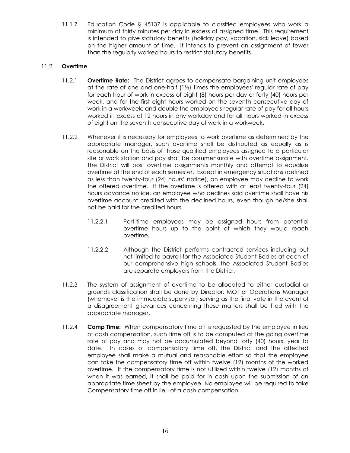11.1.7 Education Code § 45137 is applicable to classified employees who work a minimum of thirty minutes per day in excess of assigned time. This requirement is intended to give statutory benefits (holiday pay, vacation, sick leave) based on the higher amount of time. It intends to prevent an assignment of fewer than the regularly worked hours to restrict statutory benefits.

# 11.2 **Overtime**

- 11.2.1 **Overtime Rate:** The District agrees to compensate bargaining unit employees at the rate of one and one-half  $(1/2)$  times the employees' regular rate of pay for each hour of work in excess of eight (8) hours per day or forty (40) hours per week, and for the first eight hours worked on the seventh consecutive day of work in a workweek; and double the employee's regular rate of pay for all hours worked in excess of 12 hours in any workday and for all hours worked in excess of eight on the seventh consecutive day of work in a workweek.
- 11.2.2 Whenever it is necessary for employees to work overtime as determined by the appropriate manager, such overtime shall be distributed as equally as is reasonable on the basis of those qualified employees assigned to a particular site or work station and pay shall be commensurate with overtime assignment. The District will post overtime assignments monthly and attempt to equalize overtime at the end of each semester. Except in emergency situations (defined as less than twenty-four (24) hours' notice), an employee may decline to work the offered overtime. If the overtime is offered with at least twenty-four (24) hours advance notice, an employee who declines said overtime shall have his overtime account credited with the declined hours, even though he/she shall not be paid for the credited hours.
	- 11.2.2.1 Part-time employees may be assigned hours from potential overtime hours up to the point at which they would reach overtime**.**
	- 11.2.2.2 Although the District performs contracted services including but not limited to payroll for the Associated Student Bodies at each of our comprehensive high schools, the Associated Student Bodies are separate employers from the District.
- 11.2.3 The system of assignment of overtime to be allocated to either custodial or grounds classification shall be done by Director, MOT or Operations Manager (whomever is the immediate supervisor) serving as the final vote in the event of a disagreement grievances concerning these matters shall be filed with the appropriate manager.
- 11.2.4 **Comp Time:** When compensatory time off is requested by the employee in lieu of cash compensation, such time off is to be computed at the going overtime rate of pay and may not be accumulated beyond forty (40) hours, year to date. In cases of compensatory time off, the District and the affected employee shall make a mutual and reasonable effort so that the employee can take the compensatory time off within twelve (12) months of the worked overtime. If the compensatory time is not utilized within twelve (12) months of when it was earned, it shall be paid for in cash upon the submission of an appropriate time sheet by the employee. No employee will be required to take Compensatory time off in lieu of a cash compensation.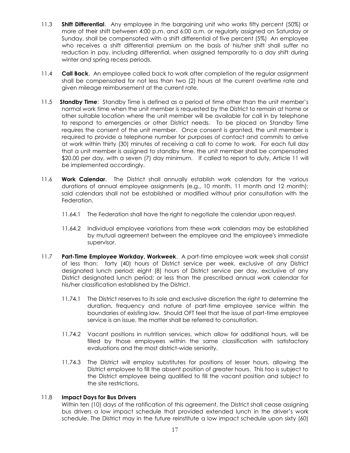- 11.3 **Shift Differential**. Any employee in the bargaining unit who works fifty percent (50%) or more of their shift between 4:00 p.m. and 6:00 a.m. or regularly assigned on Saturday or Sunday, shall be compensated with a shift differential of five percent (5%) An employee who receives a shift differential premium on the basis of his/her shift shall suffer no reduction in pay, including differential, when assigned temporarily to a day shift during winter and spring recess periods.
- 11.4 **Call Back**. An employee called back to work after completion of the regular assignment shall be compensated for not less than two (2) hours at the current overtime rate and given mileage reimbursement at the current rate.
- 11.5 **Standby Time**: Standby Time is defined as a period of time other than the unit member's normal work time when the unit member is requested by the District to remain at home or other suitable location where the unit member will be available for call in by telephone to respond to emergencies or other District needs. To be placed on Standby Time requires the consent of the unit member. Once consent is granted, the unit member is required to provide a telephone number for purposes of contact and commits to arrive at work within thirty (30) minutes of receiving a call to come to work. For each full day that a unit member is assigned to standby time, the unit member shall be compensated \$20.00 per day, with a seven (7) day minimum. If called to report to duty, Article 11 will be implemented accordingly.
- 11.6 **Work Calendar**. The District shall annually establish work calendars for the various durations of annual employee assignments (e.g., 10 month, 11 month and 12 month); said calendars shall not be established or modified without prior consultation with the Federation.
	- 11.64.1 The Federation shall have the right to negotiate the calendar upon request.
	- 11.64.2 Individual employee variations from these work calendars may be established by mutual agreement between the employee and the employee's immediate supervisor.
- 11.7 **Part-Time Employee Workday, Workweek**. A part-time employee work week shall consist of less than: forty (40) hours of District service per week, exclusive of any District designated lunch period; eight (8) hours of District service per day, exclusive of any District designated lunch period; or less than the prescribed annual work calendar for his/her classification established by the District.
	- 11.74.1 The District reserves to its sole and exclusive discretion the right to determine the duration, frequency and nature of part-time employee service within the boundaries of existing law. Should OFT feel that the issue of part-time employee service is an issue, the matter shall be referred to consultation.
	- 11.74.2 Vacant positions in nutrition services, which allow for additional hours, will be filled by those employees within the same classification with satisfactory evaluations and the most district-wide seniority.
	- 11.74.3 The District will employ substitutes for positions of lesser hours, allowing the District employee to fill the absent position of greater hours. This too is subject to the District employee being qualified to fill the vacant position and subject to the site restrictions.

# 11.8 **Impact Days for Bus Drivers**

 Within ten (10) days of the ratification of this agreement, the District shall cease assigning bus drivers a low impact schedule that provided extended lunch in the driver's work schedule. The District may in the future reinstitute a low impact schedule upon sixty (60)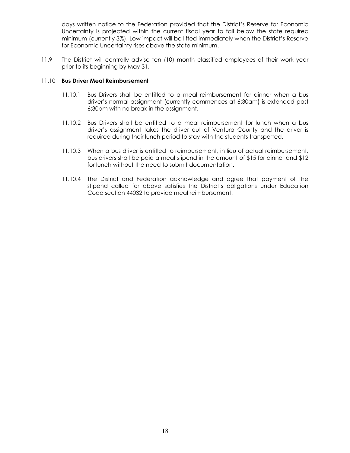days written notice to the Federation provided that the District's Reserve for Economic Uncertainty is projected within the current fiscal year to fall below the state required minimum (currently 3%). Low impact will be lifted immediately when the District's Reserve for Economic Uncertainty rises above the state minimum.

11.9 The District will centrally advise ten (10) month classified employees of their work year prior to its beginning by May 31.

#### 11.10 **Bus Driver Meal Reimbursement**

- 11.10.1 Bus Drivers shall be entitled to a meal reimbursement for dinner when a bus driver's normal assignment (currently commences at 6:30am) is extended past 6:30pm with no break in the assignment.
- 11.10.2 Bus Drivers shall be entitled to a meal reimbursement for lunch when a bus driver's assignment takes the driver out of Ventura County and the driver is required during their lunch period to stay with the students transported.
- 11.10.3 When a bus driver is entitled to reimbursement, in lieu of actual reimbursement, bus drivers shall be paid a meal stipend in the amount of \$15 for dinner and \$12 for lunch without the need to submit documentation.
- 11.10.4 The District and Federation acknowledge and agree that payment of the stipend called for above satisfies the District's obligations under Education Code section 44032 to provide meal reimbursement.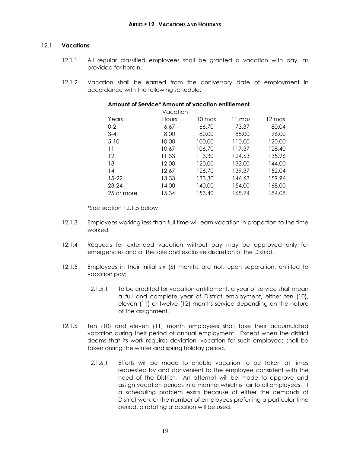# <span id="page-21-0"></span>12.1 **Vacations**

- 12.1.1 All regular classified employees shall be granted a vacation with pay, as provided for herein.
- 12.1.2 Vacation shall be earned from the anniversary date of employment in accordance with the following schedule:

| Amount of Service* Amount of vacation entitlement |          |        |        |        |
|---------------------------------------------------|----------|--------|--------|--------|
|                                                   | Vacation |        |        |        |
| Years                                             | Hours    | 10 mos | 11 mos | 12 mos |
| $0 - 2$                                           | 6.67     | 66.70  | 73.37  | 80.04  |
| $3 - 4$                                           | 8.00     | 80.00  | 88.00  | 96.00  |
| $5 - 10$                                          | 10.00    | 100.00 | 110.00 | 120.00 |
| 11                                                | 10.67    | 106.70 | 117.37 | 128.40 |
| 12                                                | 11.33    | 113.30 | 124.63 | 135.96 |
| 13                                                | 12.00    | 120.00 | 132.00 | 144.00 |
| 14                                                | 12.67    | 126.70 | 139.37 | 152.04 |
| 15-22                                             | 13.33    | 133.30 | 146.63 | 159.96 |
| $23 - 24$                                         | 14.00    | 140.00 | 154.00 | 168.00 |
| 25 or more                                        | 15.34    | 153.40 | 168.74 | 184.08 |

\*See section 12.1.5 below

- 12.1.3 Employees working less than full time will earn vacation in proportion to the time worked.
- 12.1.4 Requests for extended vacation without pay may be approved only for emergencies and at the sole and exclusive discretion of the District.
- 12.1.5 Employees in their initial six (6) months are not, upon separation, entitled to vacation pay;
	- 12.1.5.1 To be credited for vacation entitlement, a year of service shall mean a full and complete year of District employment, either ten (10), eleven (11) or twelve (12) months service depending on the nature of the assignment.
- 12.1.6 Ten (10) and eleven (11) month employees shall take their accumulated vacation during their period of annual employment. Except when the district deems that its work requires deviation, vacation for such employees shall be taken during the winter and spring holiday period.
	- 12.1.6.1 Efforts will be made to enable vacation to be taken at times requested by and convenient to the employee consistent with the need of the District. An attempt will be made to approve and assign vacation periods in a manner which is fair to all employees. If a scheduling problem exists because of either the demands of District work or the number of employees preferring a particular time period, a rotating allocation will be used.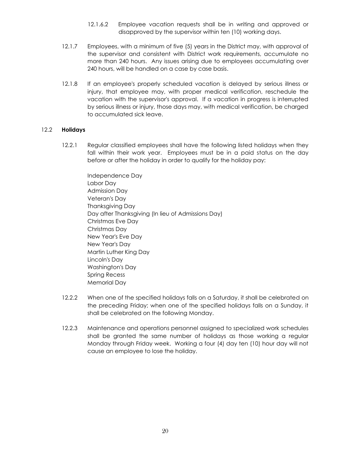- 12.1.6.2 Employee vacation requests shall be in writing and approved or disapproved by the supervisor within ten (10) working days.
- 12.1.7 Employees, with a minimum of five (5) years in the District may, with approval of the supervisor and consistent with District work requirements, accumulate no more than 240 hours. Any issues arising due to employees accumulating over 240 hours, will be handled on a case by case basis.
- 12.1.8 If an employee's properly scheduled vacation is delayed by serious illness or injury, that employee may, with proper medical verification, reschedule the vacation with the supervisor's approval. If a vacation in progress is interrupted by serious illness or injury, those days may, with medical verification, be charged to accumulated sick leave.

#### 12.2 **Holidays**

- 12.2.1 Regular classified employees shall have the following listed holidays when they fall within their work year. Employees must be in a paid status on the day before or after the holiday in order to qualify for the holiday pay:
	- Independence Day Labor Day Admission Day Veteran's Day Thanksgiving Day Day after Thanksgiving (In lieu of Admissions Day) Christmas Eve Day Christmas Day New Year's Eve Day New Year's Day Martin Luther King Day Lincoln's Day Washington's Day Spring Recess Memorial Day
- 12.2.2 When one of the specified holidays falls on a Saturday, it shall be celebrated on the preceding Friday; when one of the specified holidays falls on a Sunday, it shall be celebrated on the following Monday.
- 12.2.3 Maintenance and operations personnel assigned to specialized work schedules shall be granted the same number of holidays as those working a regular Monday through Friday week. Working a four (4) day ten (10) hour day will not cause an employee to lose the holiday.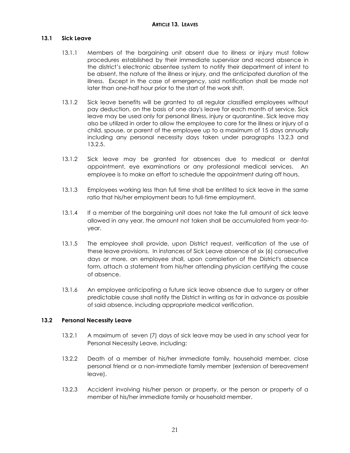#### <span id="page-23-1"></span><span id="page-23-0"></span>**13.1 Sick Leave**

- 13.1.1 Members of the bargaining unit absent due to illness or injury must follow procedures established by their immediate supervisor and record absence in the district's electronic absentee system to notify their department of intent to be absent, the nature of the illness or injury, and the anticipated duration of the illness. Except in the case of emergency, said notification shall be made not later than one-half hour prior to the start of the work shift.
- 13.1.2 Sick leave benefits will be granted to all regular classified employees without pay deduction, on the basis of one day's leave for each month of service. Sick leave may be used only for personal illness, injury or quarantine. Sick leave may also be utilized in order to allow the employee to care for the illness or injury of a child, spouse, or parent of the employee up to a maximum of 15 days annually including any personal necessity days taken under paragraphs 13.2.3 and 13.2.5.
- 13.1.2 Sick leave may be granted for absences due to medical or dental appointment, eye examinations or any professional medical services. An employee is to make an effort to schedule the appointment during off hours.
- 13.1.3 Employees working less than full time shall be entitled to sick leave in the same ratio that his/her employment bears to full-time employment.
- 13.1.4 If a member of the bargaining unit does not take the full amount of sick leave allowed in any year, the amount not taken shall be accumulated from year-toyear.
- 13.1.5 The employee shall provide, upon District request, verification of the use of these leave provisions. In instances of Sick Leave absence of six (6) consecutive days or more, an employee shall, upon completion of the District's absence form, attach a statement from his/her attending physician certifying the cause of absence.
- 13.1.6 An employee anticipating a future sick leave absence due to surgery or other predictable cause shall notify the District in writing as far in advance as possible of said absence, including appropriate medical verification.

#### <span id="page-23-2"></span>**13.2 Personal Necessity Leave**

- 13.2.1 A maximum of seven (7) days of sick leave may be used in any school year for Personal Necessity Leave, including:
- 13.2.2 Death of a member of his/her immediate family, household member, close personal friend or a non-immediate family member (extension of bereavement leave).
- 13.2.3 Accident involving his/her person or property, or the person or property of a member of his/her immediate family or household member.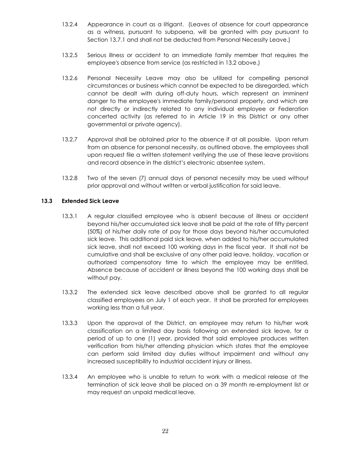- 13.2.4 Appearance in court as a litigant. (Leaves of absence for court appearance as a witness, pursuant to subpoena, will be granted with pay pursuant to Section 13.7.1 and shall not be deducted from Personal Necessity Leave.)
- 13.2.5 Serious illness or accident to an immediate family member that requires the employee's absence from service (as restricted in 13.2 above.)
- 13.2.6 Personal Necessity Leave may also be utilized for compelling personal circumstances or business which cannot be expected to be disregarded, which cannot be dealt with during off-duty hours, which represent an imminent danger to the employee's immediate family/personal property, and which are not directly or indirectly related to any individual employee or Federation concerted activity (as referred to in Article 19 in this District or any other governmental or private agency).
- 13.2.7 Approval shall be obtained prior to the absence if at all possible. Upon return from an absence for personal necessity, as outlined above, the employees shall upon request file a written statement verifying the use of these leave provisions and record absence in the district's electronic absentee system.
- 13.2.8 Two of the seven (7) annual days of personal necessity may be used without prior approval and without written or verbal justification for said leave.

# <span id="page-24-0"></span>**13.3 Extended Sick Leave**

- 13.3.1 A regular classified employee who is absent because of illness or accident beyond his/her accumulated sick leave shall be paid at the rate of fifty percent (50%) of his/her daily rate of pay for those days beyond his/her accumulated sick leave. This additional paid sick leave, when added to his/her accumulated sick leave, shall not exceed 100 working days in the fiscal year. It shall not be cumulative and shall be exclusive of any other paid leave, holiday, vacation or authorized compensatory time to which the employee may be entitled. Absence because of accident or illness beyond the 100 working days shall be without pay.
- 13.3.2 The extended sick leave described above shall be granted to all regular classified employees on July 1 of each year. It shall be prorated for employees working less than a full year.
- 13.3.3 Upon the approval of the District, an employee may return to his/her work classification on a limited day basis following an extended sick leave, for a period of up to one (1) year, provided that said employee produces written verification from his/her attending physician which states that the employee can perform said limited day duties without impairment and without any increased susceptibility to industrial accident injury or illness.
- 13.3.4 An employee who is unable to return to work with a medical release at the termination of sick leave shall be placed on a 39 month re-employment list or may request an unpaid medical leave.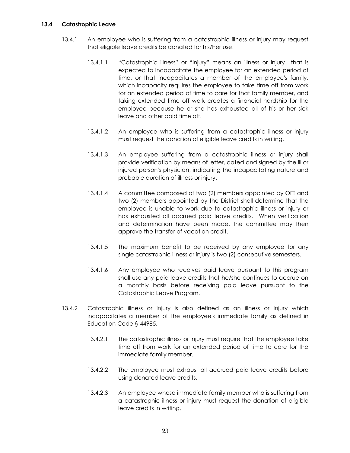#### <span id="page-25-0"></span>**13.4 Catastrophic Leave**

- 13.4.1 An employee who is suffering from a catastrophic illness or injury may request that eligible leave credits be donated for his/her use.
	- 13.4.1.1 "Catastrophic illness" or "injury" means an illness or injury that is expected to incapacitate the employee for an extended period of time, or that incapacitates a member of the employee's family, which incapacity requires the employee to take time off from work for an extended period of time to care for that family member, and taking extended time off work creates a financial hardship for the employee because he or she has exhausted all of his or her sick leave and other paid time off.
	- 13.4.1.2 An employee who is suffering from a catastrophic illness or injury must request the donation of eligible leave credits in writing.
	- 13.4.1.3 An employee suffering from a catastrophic illness or injury shall provide verification by means of letter, dated and signed by the ill or injured person's physician, indicating the incapacitating nature and probable duration of illness or injury.
	- 13.4.1.4 A committee composed of two (2) members appointed by OFT and two (2) members appointed by the District shall determine that the employee is unable to work due to catastrophic illness or injury or has exhausted all accrued paid leave credits. When verification and determination have been made, the committee may then approve the transfer of vacation credit.
	- 13.4.1.5 The maximum benefit to be received by any employee for any single catastrophic illness or injury is two (2) consecutive semesters.
	- 13.4.1.6 Any employee who receives paid leave pursuant to this program shall use any paid leave credits that he/she continues to accrue on a monthly basis before receiving paid leave pursuant to the Catastrophic Leave Program.
- 13.4.2 Catastrophic illness or injury is also defined as an illness or injury which incapacitates a member of the employee's immediate family as defined in Education Code § 44985.
	- 13.4.2.1 The catastrophic illness or injury must require that the employee take time off from work for an extended period of time to care for the immediate family member.
	- 13.4.2.2 The employee must exhaust all accrued paid leave credits before using donated leave credits.
	- 13.4.2.3 An employee whose immediate family member who is suffering from a catastrophic illness or injury must request the donation of eligible leave credits in writing.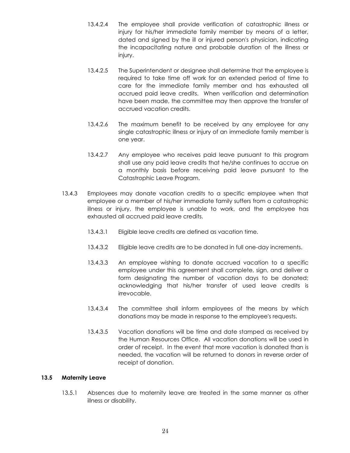- 13.4.2.4 The employee shall provide verification of catastrophic illness or injury for his/her immediate family member by means of a letter, dated and signed by the ill or injured person's physician, indicating the incapacitating nature and probable duration of the illness or injury.
- 13.4.2.5 The Superintendent or designee shall determine that the employee is required to take time off work for an extended period of time to care for the immediate family member and has exhausted all accrued paid leave credits. When verification and determination have been made, the committee may then approve the transfer of accrued vacation credits.
- 13.4.2.6 The maximum benefit to be received by any employee for any single catastrophic illness or injury of an immediate family member is one year.
- 13.4.2.7 Any employee who receives paid leave pursuant to this program shall use any paid leave credits that he/she continues to accrue on a monthly basis before receiving paid leave pursuant to the Catastrophic Leave Program.
- 13.4.3 Employees may donate vacation credits to a specific employee when that employee or a member of his/her immediate family suffers from a catastrophic illness or injury, the employee is unable to work, and the employee has exhausted all accrued paid leave credits.
	- 13.4.3.1 Eligible leave credits are defined as vacation time.
	- 13.4.3.2 Eligible leave credits are to be donated in full one-day increments.
	- 13.4.3.3 An employee wishing to donate accrued vacation to a specific employee under this agreement shall complete, sign, and deliver a form designating the number of vacation days to be donated; acknowledging that his/her transfer of used leave credits is irrevocable.
	- 13.4.3.4 The committee shall inform employees of the means by which donations may be made in response to the employee's requests.
	- 13.4.3.5 Vacation donations will be time and date stamped as received by the Human Resources Office. All vacation donations will be used in order of receipt. In the event that more vacation is donated than is needed, the vacation will be returned to donors in reverse order of receipt of donation.

#### <span id="page-26-0"></span>**13.5 Maternity Leave**

13.5.1 Absences due to maternity leave are treated in the same manner as other illness or disability.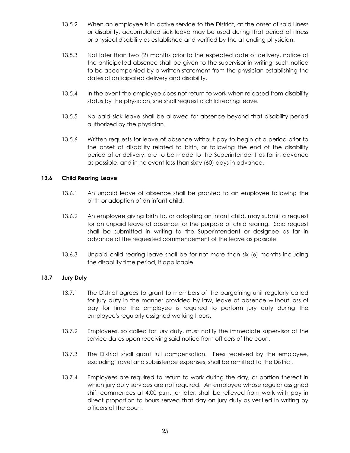- 13.5.2 When an employee is in active service to the District, at the onset of said illness or disability, accumulated sick leave may be used during that period of illness or physical disability as established and verified by the attending physician.
- 13.5.3 Not later than two (2) months prior to the expected date of delivery, notice of the anticipated absence shall be given to the supervisor in writing; such notice to be accompanied by a written statement from the physician establishing the dates of anticipated delivery and disability.
- 13.5.4 In the event the employee does not return to work when released from disability status by the physician, she shall request a child rearing leave.
- 13.5.5 No paid sick leave shall be allowed for absence beyond that disability period authorized by the physician.
- 13.5.6 Written requests for leave of absence without pay to begin at a period prior to the onset of disability related to birth, or following the end of the disability period after delivery, are to be made to the Superintendent as far in advance as possible, and in no event less than sixty (60) days in advance.

#### <span id="page-27-0"></span>**13.6 Child Rearing Leave**

- 13.6.1 An unpaid leave of absence shall be granted to an employee following the birth or adoption of an infant child.
- 13.6.2 An employee giving birth to, or adopting an infant child, may submit a request for an unpaid leave of absence for the purpose of child rearing. Said request shall be submitted in writing to the Superintendent or designee as far in advance of the requested commencement of the leave as possible.
- 13.6.3 Unpaid child rearing leave shall be for not more than six (6) months including the disability time period, if applicable.

#### <span id="page-27-1"></span>**13.7 Jury Duty**

- 13.7.1 The District agrees to grant to members of the bargaining unit regularly called for jury duty in the manner provided by law, leave of absence without loss of pay for time the employee is required to perform jury duty during the employee's regularly assigned working hours.
- 13.7.2 Employees, so called for jury duty, must notify the immediate supervisor of the service dates upon receiving said notice from officers of the court.
- 13.7.3 The District shall grant full compensation. Fees received by the employee, excluding travel and subsistence expenses, shall be remitted to the District.
- 13.7.4 Employees are required to return to work during the day, or portion thereof in which jury duty services are not required. An employee whose regular assigned shift commences at 4:00 p.m., or later, shall be relieved from work with pay in direct proportion to hours served that day on jury duty as verified in writing by officers of the court.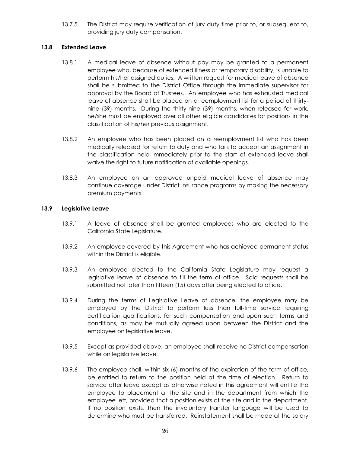13.7.5 The District may require verification of jury duty time prior to, or subsequent to, providing jury duty compensation.

# <span id="page-28-0"></span>**13.8 Extended Leave**

- 13.8.1 A medical leave of absence without pay may be granted to a permanent employee who, because of extended illness or temporary disability, is unable to perform his/her assigned duties. A written request for medical leave of absence shall be submitted to the District Office through the immediate supervisor for approval by the Board of Trustees. An employee who has exhausted medical leave of absence shall be placed on a reemployment list for a period of thirtynine (39) months. During the thirty-nine (39) months, when released for work, he/she must be employed over all other eligible candidates for positions in the classification of his/her previous assignment.
- 13.8.2 An employee who has been placed on a reemployment list who has been medically released for return to duty and who fails to accept an assignment in the classification held immediately prior to the start of extended leave shall waive the right to future notification of available openings.
- 13.8.3 An employee on an approved unpaid medical leave of absence may continue coverage under District insurance programs by making the necessary premium payments.

# <span id="page-28-1"></span>**13.9 Legislative Leave**

- 13.9.1 A leave of absence shall be granted employees who are elected to the California State Legislature.
- 13.9.2 An employee covered by this Agreement who has achieved permanent status within the District is eligible.
- 13.9.3 An employee elected to the California State Legislature may request a legislative leave of absence to fill the term of office. Said requests shall be submitted not later than fifteen (15) days after being elected to office.
- 13.9.4 During the terms of Legislative Leave of absence, the employee may be employed by the District to perform less than full-time service requiring certification qualifications, for such compensation and upon such terms and conditions, as may be mutually agreed upon between the District and the employee on legislative leave.
- 13.9.5 Except as provided above, an employee shall receive no District compensation while on legislative leave.
- 13.9.6 The employee shall, within six (6) months of the expiration of the term of office, be entitled to return to the position held at the time of election. Return to service after leave except as otherwise noted in this agreement will entitle the employee to placement at the site and in the department from which the employee left, provided that a position exists at the site and in the department. If no position exists, then the involuntary transfer language will be used to determine who must be transferred. Reinstatement shall be made at the salary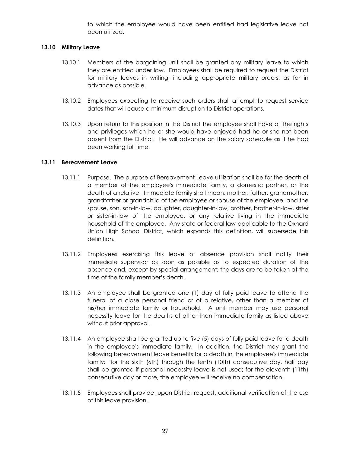to which the employee would have been entitled had legislative leave not been utilized.

#### <span id="page-29-0"></span>**13.10 Military Leave**

- 13.10.1 Members of the bargaining unit shall be granted any military leave to which they are entitled under law. Employees shall be required to request the District for military leaves in writing, including appropriate military orders, as far in advance as possible.
- 13.10.2 Employees expecting to receive such orders shall attempt to request service dates that will cause a minimum disruption to District operations.
- 13.10.3 Upon return to this position in the District the employee shall have all the rights and privileges which he or she would have enjoyed had he or she not been absent from the District. He will advance on the salary schedule as if he had been working full time.

#### <span id="page-29-1"></span>**13.11 Bereavement Leave**

- 13.11.1 Purpose. The purpose of Bereavement Leave utilization shall be for the death of a member of the employee's immediate family, a domestic partner, or the death of a relative. Immediate family shall mean: mother, father, grandmother, grandfather or grandchild of the employee or spouse of the employee, and the spouse, son, son-in-law, daughter, daughter-in-law, brother, brother-in-law, sister or sister-in-law of the employee, or any relative living in the immediate household of the employee. Any state or federal law applicable to the Oxnard Union High School District, which expands this definition, will supersede this definition.
- 13.11.2 Employees exercising this leave of absence provision shall notify their immediate supervisor as soon as possible as to expected duration of the absence and, except by special arrangement; the days are to be taken at the time of the family member's death.
- 13.11.3 An employee shall be granted one (1) day of fully paid leave to attend the funeral of a close personal friend or of a relative, other than a member of his/her immediate family or household. A unit member may use personal necessity leave for the deaths of other than immediate family as listed above without prior approval.
- 13.11.4 An employee shall be granted up to five (5) days of fully paid leave for a death in the employee's immediate family. In addition, the District may grant the following bereavement leave benefits for a death in the employee's immediate family: for the sixth (6th) through the tenth (10th) consecutive day, half pay shall be granted if personal necessity leave is not used; for the eleventh (11th) consecutive day or more, the employee will receive no compensation.
- 13.11.5 Employees shall provide, upon District request, additional verification of the use of this leave provision.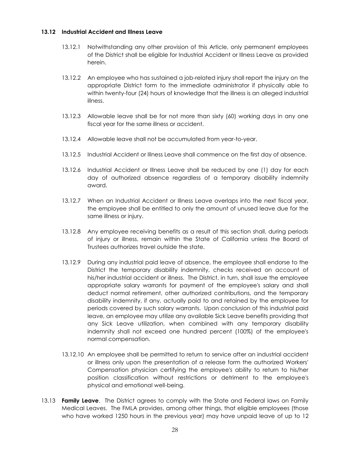#### <span id="page-30-0"></span>**13.12 Industrial Accident and Illness Leave**

- 13.12.1 Notwithstanding any other provision of this Article, only permanent employees of the District shall be eligible for Industrial Accident or Illness Leave as provided herein.
- 13.12.2 An employee who has sustained a job-related injury shall report the injury on the appropriate District form to the immediate administrator if physically able to within twenty-four (24) hours of knowledge that the illness is an alleged industrial illness.
- 13.12.3 Allowable leave shall be for not more than sixty (60) working days in any one fiscal year for the same illness or accident.
- 13.12.4 Allowable leave shall not be accumulated from year-to-year.
- 13.12.5 Industrial Accident or Illness Leave shall commence on the first day of absence.
- 13.12.6 Industrial Accident or Illness Leave shall be reduced by one (1) day for each day of authorized absence regardless of a temporary disability indemnity award.
- 13.12.7 When an Industrial Accident or Illness Leave overlaps into the next fiscal year, the employee shall be entitled to only the amount of unused leave due for the same illness or injury.
- 13.12.8 Any employee receiving benefits as a result of this section shall, during periods of injury or illness, remain within the State of California unless the Board of Trustees authorizes travel outside the state.
- 13.12.9 During any industrial paid leave of absence, the employee shall endorse to the District the temporary disability indemnity, checks received on account of his/her industrial accident or illness. The District, in turn, shall issue the employee appropriate salary warrants for payment of the employee's salary and shall deduct normal retirement, other authorized contributions, and the temporary disability indemnity, if any, actually paid to and retained by the employee for periods covered by such salary warrants. Upon conclusion of this industrial paid leave, an employee may utilize any available Sick Leave benefits providing that any Sick Leave utilization, when combined with any temporary disability indemnity shall not exceed one hundred percent (100%) of the employee's normal compensation.
- 13.12.10 An employee shall be permitted to return to service after an industrial accident or illness only upon the presentation of a release form the authorized Workers' Compensation physician certifying the employee's ability to return to his/her position classification without restrictions or detriment to the employee's physical and emotional well-being.
- 13.13 **Family Leave**. The District agrees to comply with the State and Federal laws on Family Medical Leaves. The FMLA provides, among other things, that eligible employees (those who have worked 1250 hours in the previous year) may have unpaid leave of up to 12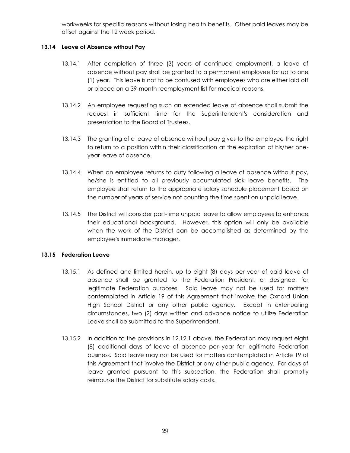workweeks for specific reasons without losing health benefits. Other paid leaves may be offset against the 12 week period.

# <span id="page-31-0"></span>**13.14 Leave of Absence without Pay**

- 13.14.1 After completion of three (3) years of continued employment, a leave of absence without pay shall be granted to a permanent employee for up to one (1) year. This leave is not to be confused with employees who are either laid off or placed on a 39-month reemployment list for medical reasons.
- 13.14.2 An employee requesting such an extended leave of absence shall submit the request in sufficient time for the Superintendent's consideration and presentation to the Board of Trustees.
- 13.14.3 The granting of a leave of absence without pay gives to the employee the right to return to a position within their classification at the expiration of his/her oneyear leave of absence.
- 13.14.4 When an employee returns to duty following a leave of absence without pay, he/she is entitled to all previously accumulated sick leave benefits. The employee shall return to the appropriate salary schedule placement based on the number of years of service not counting the time spent on unpaid leave.
- 13.14.5 The District will consider part-time unpaid leave to allow employees to enhance their educational background. However, this option will only be available when the work of the District can be accomplished as determined by the employee's immediate manager.

# <span id="page-31-1"></span>**13.15 Federation Leave**

- 13.15.1 As defined and limited herein, up to eight (8) days per year of paid leave of absence shall be granted to the Federation President, or designee, for legitimate Federation purposes. Said leave may not be used for matters contemplated in Article 19 of this Agreement that involve the Oxnard Union High School District or any other public agency. Except in extenuating circumstances, two (2) days written and advance notice to utilize Federation Leave shall be submitted to the Superintendent.
- 13.15.2 In addition to the provisions in 12.12.1 above, the Federation may request eight (8) additional days of leave of absence per year for legitimate Federation business. Said leave may not be used for matters contemplated in Article 19 of this Agreement that involve the District or any other public agency. For days of leave granted pursuant to this subsection, the Federation shall promptly reimburse the District for substitute salary costs.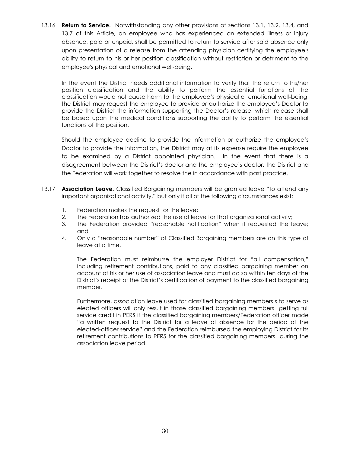13.16 **Return to Service.** Notwithstanding any other provisions of sections 13.1, 13.2, 13.4, and 13.7 of this Article, an employee who has experienced an extended illness or injury absence, paid or unpaid, shall be permitted to return to service after said absence only upon presentation of a release from the attending physician certifying the employee's ability to return to his or her position classification without restriction or detriment to the employee's physical and emotional well-being.

In the event the District needs additional information to verify that the return to his/her position classification and the ability to perform the essential functions of the classification would not cause harm to the employee's physical or emotional well-being, the District may request the employee to provide or authorize the employee's Doctor to provide the District the information supporting the Doctor's release, which release shall be based upon the medical conditions supporting the ability to perform the essential functions of the position.

Should the employee decline to provide the information or authorize the employee's Doctor to provide the information, the District may at its expense require the employee to be examined by a District appointed physician. In the event that there is a disagreement between the District's doctor and the employee's doctor, the District and the Federation will work together to resolve the in accordance with past practice.

- 13.17 **Association Leave.** Classified Bargaining members will be granted leave "to attend any important organizational activity," but only if all of the following circumstances exist:
	- 1. Federation makes the request for the leave;
	- 2. The Federation has authorized the use of leave for that organizational activity;
	- 3. The Federation provided "reasonable notification" when it requested the leave; and
	- 4. Only a "reasonable number" of Classified Bargaining members are on this type of leave at a time.

The Federation-must reimburse the employer District for "all compensation," including retirement contributions, paid to any classified bargaining member on account of his or her use of association leave and must do so within ten days of the District's receipt of the District's certification of payment to the classified bargaining member.

Furthermore, association leave used for classified bargaining members s to serve as elected officers will only result in those classified bargaining members getting full service credit in PERS if the classified bargaining members/Federation officer made "a written request to the District for a leave of absence for the period of the elected-officer service" and the Federation reimbursed the employing District for its retirement contributions to PERS for the classified bargaining members during the association leave period.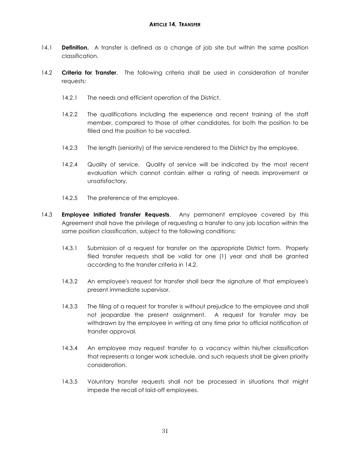- <span id="page-33-0"></span>14.1 **Definition.** A transfer is defined as a change of job site but within the same position classification.
- 14.2 **Criteria for Transfer**. The following criteria shall be used in consideration of transfer requests:
	- 14.2.1 The needs and efficient operation of the District.
	- 14.2.2 The qualifications including the experience and recent training of the staff member, compared to those of other candidates, for both the position to be filled and the position to be vacated.
	- 14.2.3 The length (seniority) of the service rendered to the District by the employee.
	- 14.2.4 Quality of service. Quality of service will be indicated by the most recent evaluation which cannot contain either a rating of needs improvement or unsatisfactory.
	- 14.2.5 The preference of the employee.
- 14.3 **Employee Initiated Transfer Requests**. Any permanent employee covered by this Agreement shall have the privilege of requesting a transfer to any job location within the same position classification, subject to the following conditions:
	- 14.3.1 Submission of a request for transfer on the appropriate District form. Properly filed transfer requests shall be valid for one (1) year and shall be granted according to the transfer criteria in 14.2.
	- 14.3.2 An employee's request for transfer shall bear the signature of that employee's present immediate supervisor.
	- 14.3.3 The filing of a request for transfer is without prejudice to the employee and shall not jeopardize the present assignment. A request for transfer may be withdrawn by the employee in writing at any time prior to official notification of transfer approval.
	- 14.3.4 An employee may request transfer to a vacancy within his/her classification that represents a longer work schedule, and such requests shall be given priority consideration.
	- 14.3.5 Voluntary transfer requests shall not be processed in situations that might impede the recall of laid-off employees.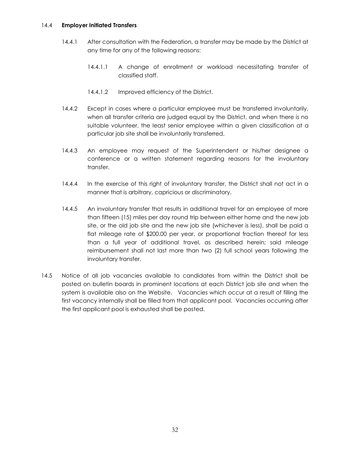#### 14.4 **Employer Initiated Transfers**

- 14.4.1 After consultation with the Federation, a transfer may be made by the District at any time for any of the following reasons:
	- 14.4.1.1 A change of enrollment or workload necessitating transfer of classified staff.
	- 14.4.1.2 Improved efficiency of the District.
- 14.4.2 Except in cases where a particular employee must be transferred involuntarily, when all transfer criteria are judged equal by the District, and when there is no suitable volunteer, the least senior employee within a given classification at a particular job site shall be involuntarily transferred.
- 14.4.3 An employee may request of the Superintendent or his/her designee a conference or a written statement regarding reasons for the involuntary transfer.
- 14.4.4 In the exercise of this right of involuntary transfer, the District shall not act in a manner that is arbitrary, capricious or discriminatory.
- 14.4.5 An involuntary transfer that results in additional travel for an employee of more than fifteen (15) miles per day round trip between either home and the new job site, or the old job site and the new job site (whichever is less), shall be paid a flat mileage rate of \$200.00 per year, or proportional fraction thereof for less than a full year of additional travel, as described herein; said mileage reimbursement shall not last more than two (2) full school years following the involuntary transfer.
- 14.5 Notice of all job vacancies available to candidates from within the District shall be posted on bulletin boards in prominent locations at each District job site and when the system is available also on the Website. Vacancies which occur at a result of filling the first vacancy internally shall be filled from that applicant pool. Vacancies occurring after the first applicant pool is exhausted shall be posted.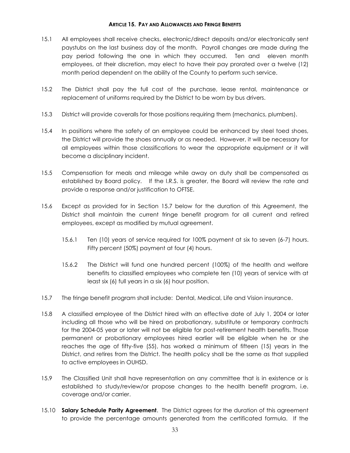#### **ARTICLE 15. PAY AND ALLOWANCES AND FRINGE BENEFITS**

- <span id="page-35-0"></span>15.1 All employees shall receive checks, electronic/direct deposits and/or electronically sent paystubs on the last business day of the month. Payroll changes are made during the pay period following the one in which they occurred. Ten and eleven month employees, at their discretion, may elect to have their pay prorated over a twelve (12) month period dependent on the ability of the County to perform such service.
- 15.2 The District shall pay the full cost of the purchase, lease rental, maintenance or replacement of uniforms required by the District to be worn by bus drivers.
- 15.3 District will provide coveralls for those positions requiring them (mechanics, plumbers).
- 15.4 In positions where the safety of an employee could be enhanced by steel toed shoes, the District will provide the shoes annually or as needed. However, it will be necessary for all employees within those classifications to wear the appropriate equipment or it will become a disciplinary incident.
- 15.5 Compensation for meals and mileage while away on duty shall be compensated as established by Board policy. If the I.R.S. is greater, the Board will review the rate and provide a response and/or justification to OFTSE.
- 15.6 Except as provided for in Section 15.7 below for the duration of this Agreement, the District shall maintain the current fringe benefit program for all current and retired employees, except as modified by mutual agreement.
	- 15.6.1 Ten (10) years of service required for 100% payment at six to seven (6-7) hours. Fifty percent (50%) payment at four (4) hours.
	- 15.6.2 The District will fund one hundred percent (100%) of the health and welfare benefits to classified employees who complete ten (10) years of service with at least six (6) full years in a six (6) hour position.
- 15.7 The fringe benefit program shall include: Dental, Medical, Life and Vision insurance.
- 15.8 A classified employee of the District hired with an effective date of July 1, 2004 or later including all those who will be hired on probationary, substitute or temporary contracts for the 2004-05 year or later will not be eligible for post-retirement health benefits. Those permanent or probationary employees hired earlier will be eligible when he or she reaches the age of fifty-five (55), has worked a minimum of fifteen (15) years in the District, and retires from the District. The health policy shall be the same as that supplied to active employees in OUHSD.
- 15.9 The Classified Unit shall have representation on any committee that is in existence or is established to study/review/or propose changes to the health benefit program, i.e. coverage and/or carrier.
- 15.10 **Salary Schedule Parity Agreement**. The District agrees for the duration of this agreement to provide the percentage amounts generated from the certificated formula. If the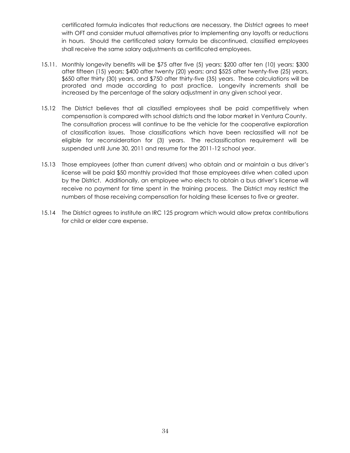certificated formula indicates that reductions are necessary, the District agrees to meet with OFT and consider mutual alternatives prior to implementing any layoffs or reductions in hours. Should the certificated salary formula be discontinued, classified employees shall receive the same salary adjustments as certificated employees.

- 15.11. Monthly longevity benefits will be \$75 after five (5) years; \$200 after ten (10) years; \$300 after fifteen (15) years; \$400 after twenty (20) years; and \$525 after twenty-five (25) years, \$650 after thirty (30) years, and \$750 after thirty-five (35) years. These calculations will be prorated and made according to past practice. Longevity increments shall be increased by the percentage of the salary adjustment in any given school year.
- 15.12 The District believes that all classified employees shall be paid competitively when compensation is compared with school districts and the labor market in Ventura County. The consultation process will continue to be the vehicle for the cooperative exploration of classification issues. Those classifications which have been reclassified will not be eligible for reconsideration for (3) years. The reclassification requirement will be suspended until June 30, 2011 and resume for the 2011-12 school year.
- 15.13 Those employees (other than current drivers) who obtain and or maintain a bus driver's license will be paid \$50 monthly provided that those employees drive when called upon by the District. Additionally, an employee who elects to obtain a bus driver's license will receive no payment for time spent in the training process. The District may restrict the numbers of those receiving compensation for holding these licenses to five or greater.
- 15.14 The District agrees to institute an IRC 125 program which would allow pretax contributions for child or elder care expense.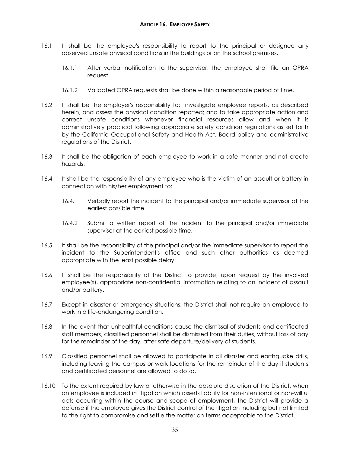- <span id="page-37-0"></span>16.1 It shall be the employee's responsibility to report to the principal or designee any observed unsafe physical conditions in the buildings or on the school premises.
	- 16.1.1 After verbal notification to the supervisor, the employee shall file an OPRA request.
	- 16.1.2 Validated OPRA requests shall be done within a reasonable period of time.
- 16.2 It shall be the employer's responsibility to: investigate employee reports, as described herein, and assess the physical condition reported; and to take appropriate action and correct unsafe conditions whenever financial resources allow and when it is administratively practical following appropriate safety condition regulations as set forth by the California Occupational Safety and Health Act, Board policy and administrative regulations of the District.
- 16.3 It shall be the obligation of each employee to work in a safe manner and not create hazards.
- 16.4 It shall be the responsibility of any employee who is the victim of an assault or battery in connection with his/her employment to:
	- 16.4.1 Verbally report the incident to the principal and/or immediate supervisor at the earliest possible time.
	- 16.4.2 Submit a written report of the incident to the principal and/or immediate supervisor at the earliest possible time.
- 16.5 It shall be the responsibility of the principal and/or the immediate supervisor to report the incident to the Superintendent's office and such other authorities as deemed appropriate with the least possible delay.
- 16.6 It shall be the responsibility of the District to provide, upon request by the involved employee(s), appropriate non-confidential information relating to an incident of assault and/or battery.
- 16.7 Except in disaster or emergency situations, the District shall not require an employee to work in a life-endangering condition.
- 16.8 In the event that unhealthful conditions cause the dismissal of students and certificated staff members, classified personnel shall be dismissed from their duties, without loss of pay for the remainder of the day, after safe departure/delivery of students.
- 16.9 Classified personnel shall be allowed to participate in all disaster and earthquake drills, including leaving the campus or work locations for the remainder of the day if students and certificated personnel are allowed to do so.
- 16.10 To the extent required by law or otherwise in the absolute discretion of the District, when an employee is included in litigation which asserts liability for non-intentional or non-willful acts occurring within the course and scope of employment, the District will provide a defense if the employee gives the District control of the litigation including but not limited to the right to compromise and settle the matter on terms acceptable to the District.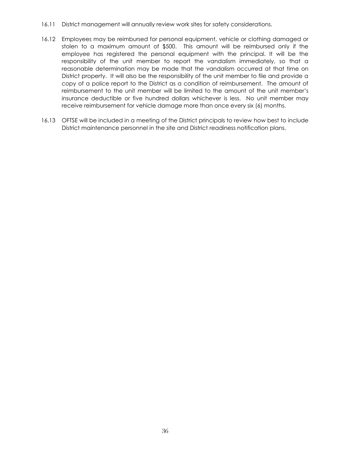- 16.11 District management will annually review work sites for safety considerations.
- 16.12 Employees may be reimbursed for personal equipment, vehicle or clothing damaged or stolen to a maximum amount of \$500. This amount will be reimbursed only if the employee has registered the personal equipment with the principal. It will be the responsibility of the unit member to report the vandalism immediately, so that a reasonable determination may be made that the vandalism occurred at that time on District property. It will also be the responsibility of the unit member to file and provide a copy of a police report to the District as a condition of reimbursement. The amount of reimbursement to the unit member will be limited to the amount of the unit member's insurance deductible or five hundred dollars whichever is less. No unit member may receive reimbursement for vehicle damage more than once every six (6) months.
- 16.13 OFTSE will be included in a meeting of the District principals to review how best to include District maintenance personnel in the site and District readiness notification plans.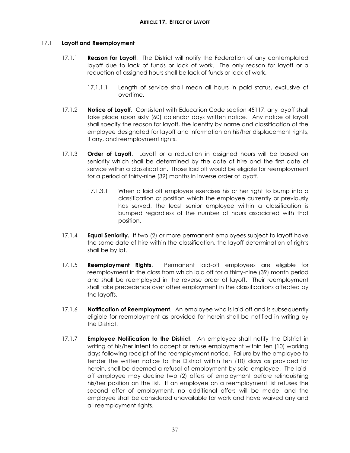# <span id="page-39-0"></span>17.1 **Layoff and Reemployment**

- 17.1.1 **Reason for Layoff**. The District will notify the Federation of any contemplated layoff due to lack of funds or lack of work. The only reason for layoff or a reduction of assigned hours shall be lack of funds or lack of work.
	- 17.1.1.1 Length of service shall mean all hours in paid status, exclusive of overtime.
- 17.1.2 **Notice of Layoff**. Consistent with Education Code section 45117, any layoff shall take place upon sixty (60) calendar days written notice. Any notice of layoff shall specify the reason for layoff, the identity by name and classification of the employee designated for layoff and information on his/her displacement rights, if any, and reemployment rights.
- 17.1.3 **Order of Layoff**. Layoff or a reduction in assigned hours will be based on seniority which shall be determined by the date of hire and the first date of service within a classification. Those laid off would be eligible for reemployment for a period of thirty-nine (39) months in inverse order of layoff.
	- 17.1.3.1 When a laid off employee exercises his or her right to bump into a classification or position which the employee currently or previously has served, the least senior employee within a classification is bumped regardless of the number of hours associated with that position.
- 17.1.4 **Equal Seniority.** If two (2) or more permanent employees subject to layoff have the same date of hire within the classification, the layoff determination of rights shall be by lot.
- 17.1.5 **Reemployment Rights**. Permanent laid-off employees are eligible for reemployment in the class from which laid off for a thirty-nine (39) month period and shall be reemployed in the reverse order of layoff. Their reemployment shall take precedence over other employment in the classifications affected by the layoffs.
- 17.1.6 **Notification of Reemployment**. An employee who is laid off and is subsequently eligible for reemployment as provided for herein shall be notified in writing by the District.
- 17.1.7 **Employee Notification to the District**. An employee shall notify the District in writing of his/her intent to accept or refuse employment within ten (10) working days following receipt of the reemployment notice. Failure by the employee to tender the written notice to the District within ten (10) days as provided for herein, shall be deemed a refusal of employment by said employee. The laidoff employee may decline two (2) offers of employment before relinquishing his/her position on the list. If an employee on a reemployment list refuses the second offer of employment, no additional offers will be made, and the employee shall be considered unavailable for work and have waived any and all reemployment rights.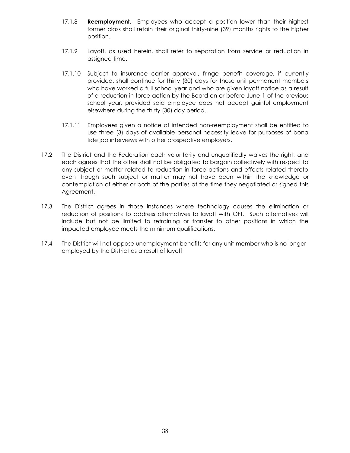- 17.1.8 **Reemployment.** Employees who accept a position lower than their highest former class shall retain their original thirty-nine (39) months rights to the higher position.
- 17.1.9 Layoff, as used herein, shall refer to separation from service or reduction in assigned time.
- 17.1.10 Subject to insurance carrier approval, fringe benefit coverage, if currently provided, shall continue for thirty (30) days for those unit permanent members who have worked a full school year and who are given layoff notice as a result of a reduction in force action by the Board on or before June 1 of the previous school year, provided said employee does not accept gainful employment elsewhere during the thirty (30) day period.
- 17.1.11 Employees given a notice of intended non-reemployment shall be entitled to use three (3) days of available personal necessity leave for purposes of bona fide job interviews with other prospective employers.
- 17.2 The District and the Federation each voluntarily and unqualifiedly waives the right, and each agrees that the other shall not be obligated to bargain collectively with respect to any subject or matter related to reduction in force actions and effects related thereto even though such subject or matter may not have been within the knowledge or contemplation of either or both of the parties at the time they negotiated or signed this Agreement.
- 17.3 The District agrees in those instances where technology causes the elimination or reduction of positions to address alternatives to layoff with OFT. Such alternatives will include but not be limited to retraining or transfer to other positions in which the impacted employee meets the minimum qualifications.
- 17.4 The District will not oppose unemployment benefits for any unit member who is no longer employed by the District as a result of layoff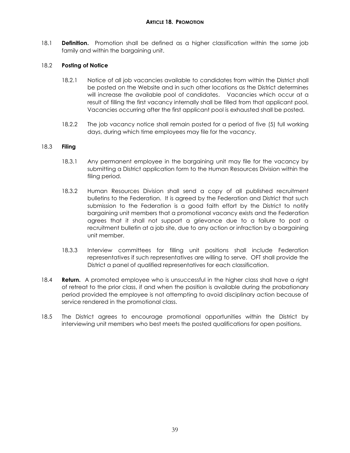#### **ARTICLE 18. PROMOTION**

<span id="page-41-0"></span>18.1 **Definition.** Promotion shall be defined as a higher classification within the same job family and within the bargaining unit.

#### 18.2 **Posting of Notice**

- 18.2.1 Notice of all job vacancies available to candidates from within the District shall be posted on the Website and in such other locations as the District determines will increase the available pool of candidates. Vacancies which occur at a result of filling the first vacancy internally shall be filled from that applicant pool. Vacancies occurring after the first applicant pool is exhausted shall be posted.
- 18.2.2 The job vacancy notice shall remain posted for a period of five (5) full working days, during which time employees may file for the vacancy.

#### 18.3 **Filing**

- 18.3.1 Any permanent employee in the bargaining unit may file for the vacancy by submitting a District application form to the Human Resources Division within the filing period.
- 18.3.2 Human Resources Division shall send a copy of all published recruitment bulletins to the Federation. It is agreed by the Federation and District that such submission to the Federation is a good faith effort by the District to notify bargaining unit members that a promotional vacancy exists and the Federation agrees that it shall not support a grievance due to a failure to post a recruitment bulletin at a job site, due to any action or infraction by a bargaining unit member.
- 18.3.3 Interview committees for filling unit positions shall include Federation representatives if such representatives are willing to serve. OFT shall provide the District a panel of qualified representatives for each classification.
- 18.4 **Return.** A promoted employee who is unsuccessful in the higher class shall have a right of retreat to the prior class, if and when the position is available during the probationary period provided the employee is not attempting to avoid disciplinary action because of service rendered in the promotional class.
- 18.5 The District agrees to encourage promotional opportunities within the District by interviewing unit members who best meets the posted qualifications for open positions.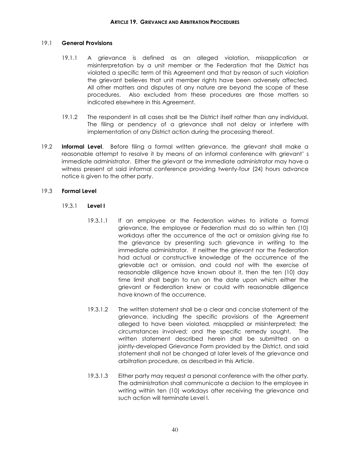#### <span id="page-42-0"></span>19.1 **General Provisions**

- 19.1.1 A grievance is defined as an alleged violation, misapplication or misinterpretation by a unit member or the Federation that the District has violated a specific term of this Agreement and that by reason of such violation the grievant believes that unit member rights have been adversely affected. All other matters and disputes of any nature are beyond the scope of these procedures. Also excluded from these procedures are those matters so indicated elsewhere in this Agreement.
- 19.1.2 The respondent in all cases shall be the District itself rather than any individual. The filing or pendency of a grievance shall not delay or interfere with implementation of any District action during the processing thereof.
- 19.2 **Informal Level**. Before filing a formal written grievance, the grievant shall make a reasonable attempt to resolve it by means of an informal conference with grievant' s immediate administrator. Either the grievant or the immediate administrator may have a witness present at said informal conference providing twenty-four (24) hours advance notice is given to the other party.

#### 19.3 **Formal Level**

- 19.3.1 **Level I**
	- 19.3.1.1 If an employee or the Federation wishes to initiate a formal grievance, the employee or Federation must do so within ten (10) workdays after the occurrence of the act or omission giving rise to the grievance by presenting such grievance in writing to the immediate administrator. If neither the grievant nor the Federation had actual or constructive knowledge of the occurrence of the grievable act or omission, and could not with the exercise of reasonable diligence have known about it, then the ten (10) day time limit shall begin to run on the date upon which either the grievant or Federation knew or could with reasonable diligence have known of the occurrence.
	- 19.3.1.2 The written statement shall be a clear and concise statement of the grievance, including the specific provisions of the Agreement alleged to have been violated, misapplied or misinterpreted; the circumstances involved; and the specific remedy sought. The written statement described herein shall be submitted on a jointly-developed Grievance Form provided by the District, and said statement shall not be changed at later levels of the grievance and arbitration procedure, as described in this Article.
	- 19.3.1.3 Either party may request a personal conference with the other party. The administration shall communicate a decision to the employee in writing within ten (10) workdays after receiving the grievance and such action will terminate Level I.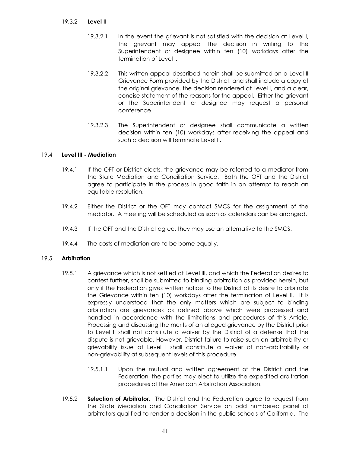#### 19.3.2 **Level II**

- 19.3.2.1 In the event the grievant is not satisfied with the decision at Level I, the grievant may appeal the decision in writing to the Superintendent or designee within ten (10) workdays after the termination of Level I.
- 19.3.2.2 This written appeal described herein shall be submitted on a Level II Grievance Form provided by the District, and shall include a copy of the original grievance, the decision rendered at Level I, and a clear, concise statement of the reasons for the appeal. Either the grievant or the Superintendent or designee may request a personal conference.
- 19.3.2.3 The Superintendent or designee shall communicate a written decision within ten (10) workdays after receiving the appeal and such a decision will terminate Level II.

# 19.4 **Level III - Mediation**

- 19.4.1 If the OFT or District elects, the grievance may be referred to a mediator from the State Mediation and Conciliation Service. Both the OFT and the District agree to participate in the process in good faith in an attempt to reach an equitable resolution.
- 19.4.2 Either the District or the OFT may contact SMCS for the assignment of the mediator. A meeting will be scheduled as soon as calendars can be arranged.
- 19.4.3 If the OFT and the District agree, they may use an alternative to the SMCS.
- 19.4.4 The costs of mediation are to be borne equally.

#### 19.5 **Arbitration**

- 19.5.1 A grievance which is not settled at Level III, and which the Federation desires to contest further, shall be submitted to binding arbitration as provided herein, but only if the Federation gives written notice to the District of its desire to arbitrate the Grievance within ten (10) workdays after the termination of Level II. It is expressly understood that the only matters which are subject to binding arbitration are grievances as defined above which were processed and handled in accordance with the limitations and procedures of this Article. Processing and discussing the merits of an alleged grievance by the District prior to Level II shall not constitute a waiver by the District of a defense that the dispute is not grievable. However, District failure to raise such an arbitrability or grievability issue at Level I shall constitute a waiver of non-arbitrability or non-grievability at subsequent levels of this procedure.
	- 19.5.1.1 Upon the mutual and written agreement of the District and the Federation, the parties may elect to utilize the expedited arbitration procedures of the American Arbitration Association.
- 19.5.2 **Selection of Arbitrator**. The District and the Federation agree to request from the State Mediation and Conciliation Service an odd numbered panel of arbitrators qualified to render a decision in the public schools of California. The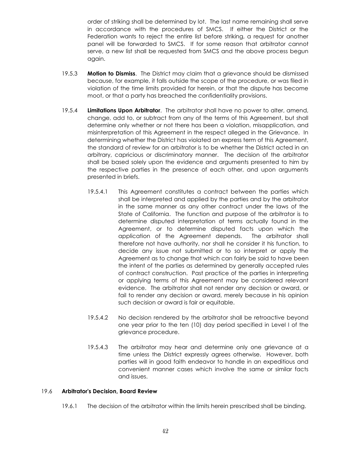order of striking shall be determined by lot. The last name remaining shall serve in accordance with the procedures of SMCS. If either the District or the Federation wants to reject the entire list before striking, a request for another panel will be forwarded to SMCS. If for some reason that arbitrator cannot serve, a new list shall be requested from SMCS and the above process begun again.

- 19.5.3 **Motion to Dismiss**. The District may claim that a grievance should be dismissed because, for example, it falls outside the scope of the procedure, or was filed in violation of the time limits provided for herein, or that the dispute has become moot, or that a party has breached the confidentiality provisions.
- 19.5.4 **Limitations Upon Arbitrator**. The arbitrator shall have no power to alter, amend, change, add to, or subtract from any of the terms of this Agreement, but shall determine only whether or not there has been a violation, misapplication, and misinterpretation of this Agreement in the respect alleged in the Grievance. In determining whether the District has violated an express term of this Agreement, the standard of review for an arbitrator is to be whether the District acted in an arbitrary, capricious or discriminatory manner. The decision of the arbitrator shall be based solely upon the evidence and arguments presented to him by the respective parties in the presence of each other, and upon arguments presented in briefs.
	- 19.5.4.1 This Agreement constitutes a contract between the parties which shall be interpreted and applied by the parties and by the arbitrator in the same manner as any other contract under the laws of the State of California. The function and purpose of the arbitrator is to determine disputed interpretation of terms actually found in the Agreement, or to determine disputed facts upon which the application of the Agreement depends. The arbitrator shall therefore not have authority, nor shall he consider it his function, to decide any issue not submitted or to so interpret or apply the Agreement as to change that which can fairly be said to have been the intent of the parties as determined by generally accepted rules of contract construction. Past practice of the parties in interpreting or applying terms of this Agreement may be considered relevant evidence. The arbitrator shall not render any decision or award, or fail to render any decision or award, merely because in his opinion such decision or award is fair or equitable.
	- 19.5.4.2 No decision rendered by the arbitrator shall be retroactive beyond one year prior to the ten (10) day period specified in Level I of the grievance procedure.
	- 19.5.4.3 The arbitrator may hear and determine only one grievance at a time unless the District expressly agrees otherwise. However, both parties will in good faith endeavor to handle in an expeditious and convenient manner cases which involve the same or similar facts and issues.

#### 19.6 **Arbitrator's Decision, Board Review**

19.6.1 The decision of the arbitrator within the limits herein prescribed shall be binding.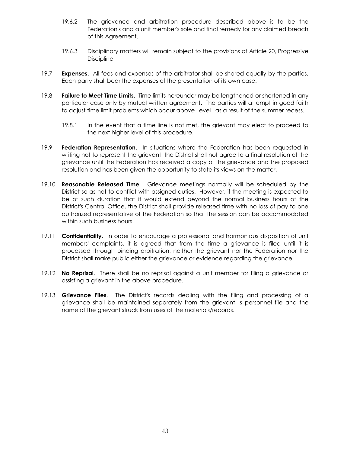- 19.6.2 The grievance and arbitration procedure described above is to be the Federation's and a unit member's sole and final remedy for any claimed breach of this Agreement.
- 19.6.3 Disciplinary matters will remain subject to the provisions of Article 20, Progressive **Discipline**
- 19.7 **Expenses**. All fees and expenses of the arbitrator shall be shared equally by the parties. Each party shall bear the expenses of the presentation of its own case.
- 19.8 **Failure to Meet Time Limits**. Time limits hereunder may be lengthened or shortened in any particular case only by mutual written agreement. The parties will attempt in good faith to adjust time limit problems which occur above Level I as a result of the summer recess.
	- 19.8.1 In the event that a time line is not met, the grievant may elect to proceed to the next higher level of this procedure.
- 19.9 **Federation Representation**. In situations where the Federation has been requested in writing not to represent the grievant, the District shall not agree to a final resolution of the grievance until the Federation has received a copy of the grievance and the proposed resolution and has been given the opportunity to state its views on the matter.
- 19.10 **Reasonable Released Time.** Grievance meetings normally will be scheduled by the District so as not to conflict with assigned duties. However, if the meeting is expected to be of such duration that it would extend beyond the normal business hours of the District's Central Office, the District shall provide released time with no loss of pay to one authorized representative of the Federation so that the session can be accommodated within such business hours.
- 19.11 **Confidentiality**. In order to encourage a professional and harmonious disposition of unit members' complaints, it is agreed that from the time a grievance is filed until it is processed through binding arbitration, neither the grievant nor the Federation nor the District shall make public either the grievance or evidence regarding the grievance.
- 19.12 **No Reprisal**. There shall be no reprisal against a unit member for filing a grievance or assisting a grievant in the above procedure.
- 19.13 **Grievance Files**. The District's records dealing with the filing and processing of a grievance shall be maintained separately from the grievant' s personnel file and the name of the grievant struck from uses of the materials/records.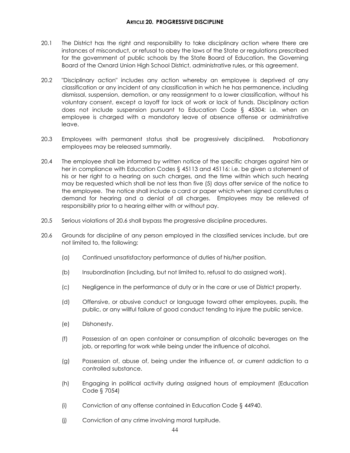- <span id="page-46-0"></span>20.1 The District has the right and responsibility to take disciplinary action where there are instances of misconduct, or refusal to obey the laws of the State or regulations prescribed for the government of public schools by the State Board of Education, the Governing Board of the Oxnard Union High School District, administrative rules, or this agreement.
- 20.2 "Disciplinary action" includes any action whereby an employee is deprived of any classification or any incident of any classification in which he has permanence, including dismissal, suspension, demotion, or any reassignment to a lower classification, without his voluntary consent, except a layoff for lack of work or lack of funds. Disciplinary action does not include suspension pursuant to Education Code § 45304: i.e. when an employee is charged with a mandatory leave of absence offense or administrative leave.
- 20.3 Employees with permanent status shall be progressively disciplined. Probationary employees may be released summarily.
- 20.4 The employee shall be informed by written notice of the specific charges against him or her in compliance with Education Codes § 45113 and 45116: i.e. be given a statement of his or her right to a hearing on such charges, and the time within which such hearing may be requested which shall be not less than five (5) days after service of the notice to the employee. The notice shall include a card or paper which when signed constitutes a demand for hearing and a denial of all charges. Employees may be relieved of responsibility prior to a hearing either with or without pay.
- 20.5 Serious violations of 20.6 shall bypass the progressive discipline procedures.
- 20.6 Grounds for discipline of any person employed in the classified services include, but are not limited to, the following:
	- (a) Continued unsatisfactory performance of duties of his/her position.
	- (b) Insubordination (including, but not limited to, refusal to do assigned work).
	- (c) Negligence in the performance of duty or in the care or use of District property.
	- (d) Offensive, or abusive conduct or language toward other employees, pupils, the public, or any willful failure of good conduct tending to injure the public service.
	- (e) Dishonesty.
	- (f) Possession of an open container or consumption of alcoholic beverages on the job, or reporting for work while being under the influence of alcohol.
	- (g) Possession of, abuse of, being under the influence of, or current addiction to a controlled substance.
	- (h) Engaging in political activity during assigned hours of employment (Education Code § 7054)
	- (i) Conviction of any offense contained in Education Code § 44940.
	- (j) Conviction of any crime involving moral turpitude.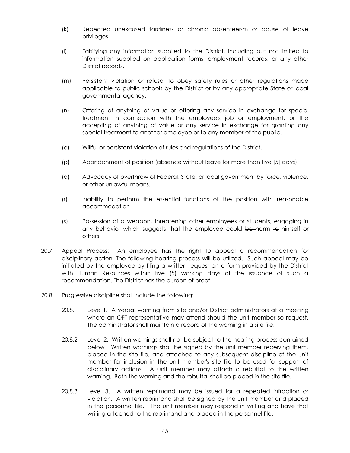- (k) Repeated unexcused tardiness or chronic absenteeism or abuse of leave privileges.
- (l) Falsifying any information supplied to the District, including but not limited to information supplied on application forms, employment records, or any other District records.
- (m) Persistent violation or refusal to obey safety rules or other regulations made applicable to public schools by the District or by any appropriate State or local governmental agency.
- (n) Offering of anything of value or offering any service in exchange for special treatment in connection with the employee's job or employment, or the accepting of anything of value or any service in exchange for granting any special treatment to another employee or to any member of the public.
- (o) Willful or persistent violation of rules and regulations of the District.
- (p) Abandonment of position (absence without leave for more than five [5] days)
- (q) Advocacy of overthrow of Federal, State, or local government by force, violence, or other unlawful means.
- (r) Inability to perform the essential functions of the position with reasonable accommodation
- (s) Possession of a weapon, threatening other employees or students, engaging in any behavior which suggests that the employee could be harm to himself or others
- 20.7 Appeal Process: An employee has the right to appeal a recommendation for disciplinary action. The following hearing process will be utilized. Such appeal may be initiated by the employee by filing a written request on a form provided by the District with Human Resources within five (5) working days of the issuance of such a recommendation. The District has the burden of proof.
- 20.8 Progressive discipline shall include the following:
	- 20.8.1 Level l. A verbal warning from site and/or District administrators at a meeting where an OFT representative may attend should the unit member so request. The administrator shall maintain a record of the warning in a site file.
	- 20.8.2 Level 2. Written warnings shall not be subject to the hearing process contained below. Written warnings shall be signed by the unit member receiving them, placed in the site file, and attached to any subsequent discipline of the unit member for inclusion in the unit member's site file to be used for support of disciplinary actions. A unit member may attach a rebuttal to the written warning. Both the warning and the rebuttal shall be placed in the site file.
	- 20.8.3 Level 3. A written reprimand may be issued for a repeated infraction or violation. A written reprimand shall be signed by the unit member and placed in the personnel file. The unit member may respond in writing and have that writing attached to the reprimand and placed in the personnel file.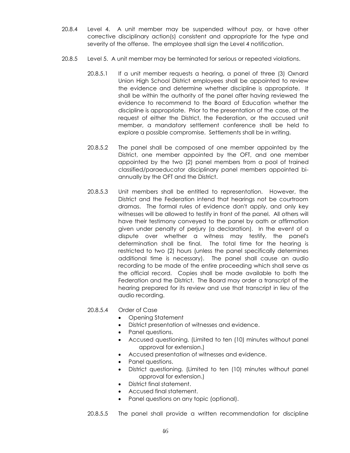- 20.8.4 Level 4. A unit member may be suspended without pay, or have other corrective disciplinary action(s) consistent and appropriate for the type and severity of the offense. The employee shall sign the Level 4 notification.
- 20.8.5 Level 5. A unit member may be terminated for serious or repeated violations.
	- 20.8.5.1 If a unit member requests a hearing, a panel of three (3) Oxnard Union High School District employees shall be appointed to review the evidence and determine whether discipline is appropriate. It shall be within the authority of the panel after having reviewed the evidence to recommend to the Board of Education whether the discipline is appropriate. Prior to the presentation of the case, at the request of either the District, the Federation, or the accused unit member, a mandatory settlement conference shall be held to explore a possible compromise. Settlements shall be in writing.
	- 20.8.5.2 The panel shall be composed of one member appointed by the District, one member appointed by the OFT, and one member appointed by the two (2) panel members from a pool of trained classified/paraeducator disciplinary panel members appointed biannually by the OFT and the District.
	- 20.8.5.3 Unit members shall be entitled to representation. However, the District and the Federation intend that hearings not be courtroom dramas. The formal rules of evidence don't apply, and only key witnesses will be allowed to testify in front of the panel. All others will have their testimony conveyed to the panel by oath or affirmation given under penalty of perjury (a declaration). In the event of a dispute over whether a witness may testify, the panel's determination shall be final. The total time for the hearing is restricted to two (2) hours (unless the panel specifically determines additional time is necessary). The panel shall cause an audio recording to be made of the entire proceeding which shall serve as the official record. Copies shall be made available to both the Federation and the District. The Board may order a transcript of the hearing prepared for its review and use that transcript in lieu of the audio recording.

#### 20.8.5.4 Order of Case

- Opening Statement
- District presentation of witnesses and evidence.
- Panel questions.
- Accused questioning. (Limited to ten (10) minutes without panel approval for extension.)
- Accused presentation of witnesses and evidence.
- Panel questions.
- District questioning. (Limited to ten (10) minutes without panel approval for extension.)
- District final statement.
- Accused final statement.
- Panel questions on any topic (optional).
- 20.8.5.5 The panel shall provide a written recommendation for discipline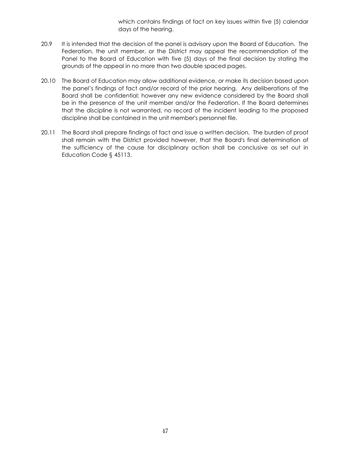which contains findings of fact on key issues within five (5) calendar days of the hearing.

- 20.9 It is intended that the decision of the panel is advisory upon the Board of Education. The Federation, the unit member, or the District may appeal the recommendation of the Panel to the Board of Education with five (5) days of the final decision by stating the grounds of the appeal in no more than two double spaced pages.
- 20.10 The Board of Education may allow additional evidence, or make its decision based upon the panel's findings of fact and/or record of the prior hearing. Any deliberations of the Board shall be confidential; however any new evidence considered by the Board shall be in the presence of the unit member and/or the Federation. If the Board determines that the discipline is not warranted, no record of the incident leading to the proposed discipline shall be contained in the unit member's personnel file.
- 20.11 The Board shall prepare findings of fact and issue a written decision. The burden of proof shall remain with the District provided however, that the Board's final determination of the sufficiency of the cause for disciplinary action shall be conclusive as set out in Education Code § 45113.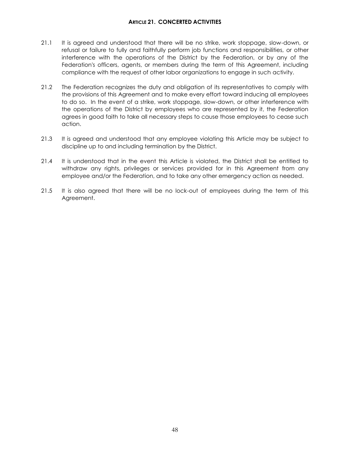#### **ARTICLE 21. CONCERTED ACTIVITIES**

- <span id="page-50-0"></span>21.1 It is agreed and understood that there will be no strike, work stoppage, slow-down, or refusal or failure to fully and faithfully perform job functions and responsibilities, or other interference with the operations of the District by the Federation, or by any of the Federation's officers, agents, or members during the term of this Agreement, including compliance with the request of other labor organizations to engage in such activity.
- 21.2 The Federation recognizes the duty and obligation of its representatives to comply with the provisions of this Agreement and to make every effort toward inducing all employees to do so. In the event of a strike, work stoppage, slow-down, or other interference with the operations of the District by employees who are represented by it, the Federation agrees in good faith to take all necessary steps to cause those employees to cease such action.
- 21.3 It is agreed and understood that any employee violating this Article may be subject to discipline up to and including termination by the District.
- 21.4 It is understood that in the event this Article is violated, the District shall be entitled to withdraw any rights, privileges or services provided for in this Agreement from any employee and/or the Federation, and to take any other emergency action as needed.
- 21.5 It is also agreed that there will be no lock-out of employees during the term of this Agreement.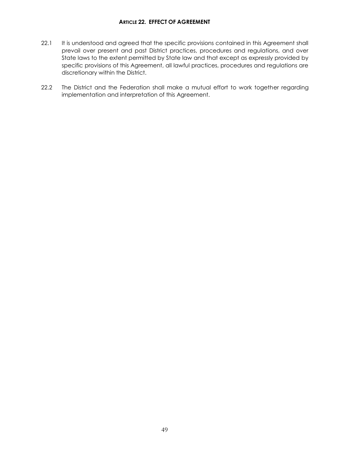- <span id="page-51-0"></span>22.1 It is understood and agreed that the specific provisions contained in this Agreement shall prevail over present and past District practices, procedures and regulations, and over State laws to the extent permitted by State law and that except as expressly provided by specific provisions of this Agreement, all lawful practices, procedures and regulations are discretionary within the District.
- 22.2 The District and the Federation shall make a mutual effort to work together regarding implementation and interpretation of this Agreement.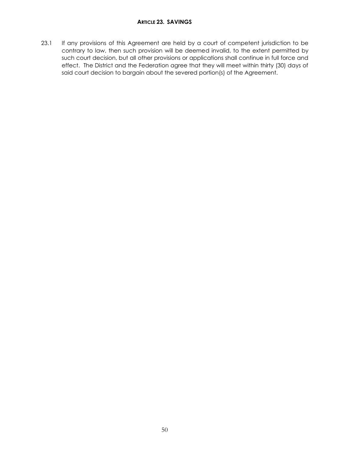<span id="page-52-0"></span>23.1 If any provisions of this Agreement are held by a court of competent jurisdiction to be contrary to law, then such provision will be deemed invalid, to the extent permitted by such court decision, but all other provisions or applications shall continue in full force and effect. The District and the Federation agree that they will meet within thirty (30) days of said court decision to bargain about the severed portion(s) of the Agreement.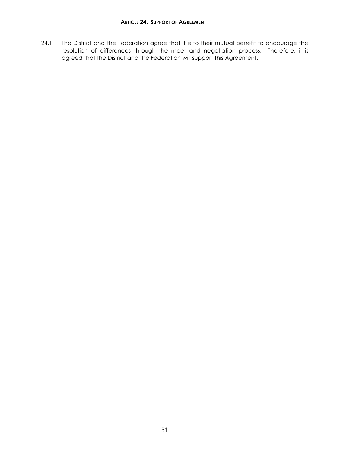<span id="page-53-0"></span>24.1 The District and the Federation agree that it is to their mutual benefit to encourage the resolution of differences through the meet and negotiation process. Therefore, it is agreed that the District and the Federation will support this Agreement.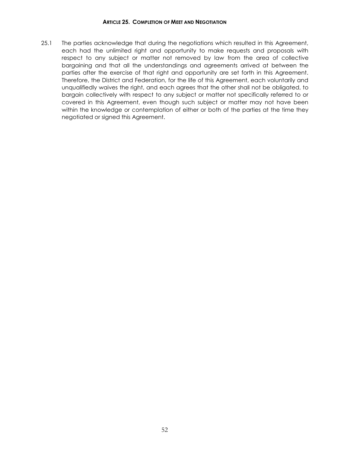#### **ARTICLE 25. COMPLETION OF MEET AND NEGOTIATION**

<span id="page-54-0"></span>25.1 The parties acknowledge that during the negotiations which resulted in this Agreement, each had the unlimited right and opportunity to make requests and proposals with respect to any subject or matter not removed by law from the area of collective bargaining and that all the understandings and agreements arrived at between the parties after the exercise of that right and opportunity are set forth in this Agreement. Therefore, the District and Federation, for the life of this Agreement, each voluntarily and unqualifiedly waives the right, and each agrees that the other shall not be obligated, to bargain collectively with respect to any subject or matter not specifically referred to or covered in this Agreement, even though such subject or matter may not have been within the knowledge or contemplation of either or both of the parties at the time they negotiated or signed this Agreement.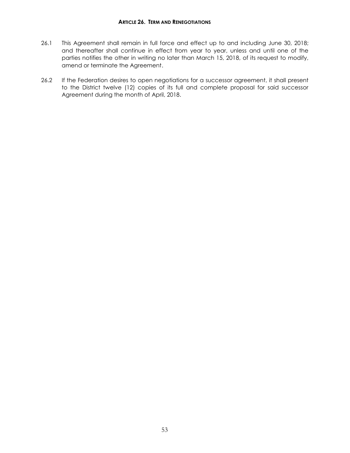- <span id="page-55-0"></span>26.1 This Agreement shall remain in full force and effect up to and including June 30, 2018; and thereafter shall continue in effect from year to year, unless and until one of the parties notifies the other in writing no later than March 15, 2018, of its request to modify, amend or terminate the Agreement.
- 26.2 If the Federation desires to open negotiations for a successor agreement, it shall present to the District twelve (12) copies of its full and complete proposal for said successor Agreement during the month of April, 2018.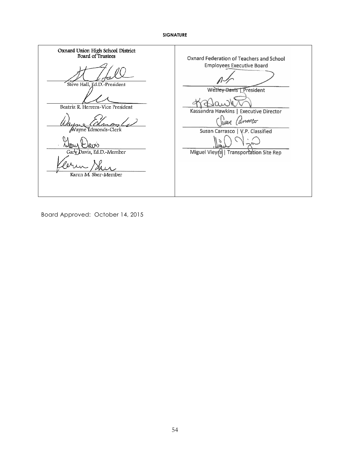#### **SIGNATURE**

<span id="page-56-0"></span>Oxnard Union High School District<br>Board of Trustees Oxnard Federation of Teachers and School **Employees Executive Board** Steve Hall, Ed.D.-President **Wesley Davis | President**  $\Omega$ Beatriz R. Herrera-Vice President Kassandra Hawkins | Executive Director Wear Canasco Wayne Edmonds-Clerk Susan Carrasco | V.P. Classified  $\mathcal{L}$ ضره( Sour Gary Davis, Ed.D.-Member Miguel Viey(a) | Transportation Site Rep Ί m Karen M. Sher-Member

Board Approved: October 14, 2015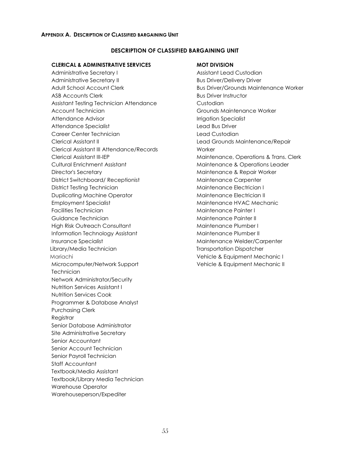#### <span id="page-57-0"></span>**APPENDIX A. DESCRIPTION OF CLASSIFIED BARGAINING UNIT**

#### **DESCRIPTION OF CLASSIFIED BARGAINING UNIT**

#### **CLERICAL & ADMINISTRATIVE SERVICES**

Administrative Secretary I Administrative Secretary II Adult School Account Clerk ASB Accounts Clerk Assistant Testing Technician Attendance Account Technician Attendance Advisor Attendance Specialist Career Center Technician Clerical Assistant II Clerical Assistant III Attendance/Records Clerical Assistant III-IEP Cultural Enrichment Assistant Director's Secretary District Switchboard/ Receptionist District Testing Technician Duplicating Machine Operator Employment Specialist Facilities Technician Guidance Technician High Risk Outreach Consultant Information Technology Assistant Insurance Specialist Library/Media Technician Mariachi Microcomputer/Network Support **Technician** Network Administrator/Security Nutrition Services Assistant I Nutrition Services Cook Programmer & Database Analyst Purchasing Clerk Registrar Senior Database Administrator Site Administrative Secretary Senior Accountant Senior Account Technician Senior Payroll Technician Staff Accountant Textbook/Media Assistant Textbook/Library Media Technician Warehouse Operator Warehouseperson/Expediter

#### **MOT DIVISION**

Assistant Lead Custodian Bus Driver/Delivery Driver Bus Driver/Grounds Maintenance Worker Bus Driver Instructor Custodian Grounds Maintenance Worker Irrigation Specialist Lead Bus Driver Lead Custodian Lead Grounds Maintenance/Repair **Worker** Maintenance, Operations & Trans. Clerk Maintenance & Operations Leader Maintenance & Repair Worker Maintenance Carpenter Maintenance Electrician I Maintenance Electrician II Maintenance HVAC Mechanic Maintenance Painter I Maintenance Painter II Maintenance Plumber I Maintenance Plumber II Maintenance Welder/Carpenter Transportation Dispatcher Vehicle & Equipment Mechanic I Vehicle & Equipment Mechanic II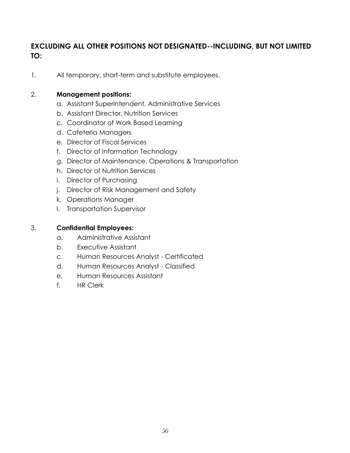# **EXCLUDING ALL OTHER POSITIONS NOT DESIGNATED--INCLUDING, BUT NOT LIMITED TO:**

1. All temporary, short-term and substitute employees.

# 2. **Management positions:**

- a. Assistant Superintendent, Administrative Services
- b. Assistant Director, Nutrition Services
- c. Coordinator of Work Based Learning
- d. Cafeteria Managers
- e. Director of Fiscal Services
- f. Director of Information Technology
- g. Director of Maintenance, Operations & Transportation
- h. Director of Nutrition Services
- i. Director of Purchasing
- j. Director of Risk Management and Safety
- k. Operations Manager
- l. Transportation Supervisor

# 3. **Confidential Employees:**

- a. Administrative Assistant
- b. Executive Assistant
- c. Human Resources Analyst Certificated
- d. Human Resources Analyst Classified
- e. Human Resources Assistant
- f. HR Clerk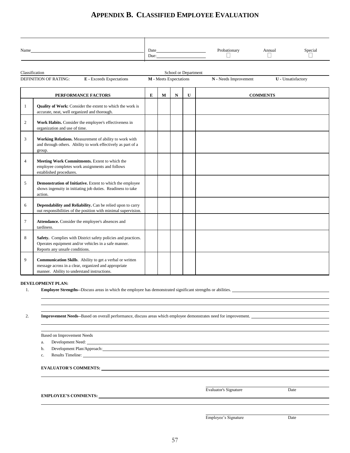# **APPENDIX B. CLASSIFIED EMPLOYEE EVALUATION**

<span id="page-59-0"></span>

| Name                         |                                 | Date<br>Due:                  | Probationary          | Annual                    | Special |
|------------------------------|---------------------------------|-------------------------------|-----------------------|---------------------------|---------|
| Classification               |                                 | School or Department          |                       |                           |         |
| <b>DEFINITION OF RATING:</b> | <b>E</b> - Exceeds Expectations | <b>M</b> - Meets Expectations | N - Needs Improvement | <b>U</b> - Unsatisfactory |         |

|                | PERFORMANCE FACTORS                                                                                                                                             | E | M | $\mathbf N$ | $\mathbf{U}$ | <b>COMMENTS</b> |
|----------------|-----------------------------------------------------------------------------------------------------------------------------------------------------------------|---|---|-------------|--------------|-----------------|
| 1              | Quality of Work: Consider the extent to which the work is<br>accurate, neat, well organized and thorough.                                                       |   |   |             |              |                 |
| $\overline{2}$ | Work Habits. Consider the employee's effectiveness in<br>organization and use of time.                                                                          |   |   |             |              |                 |
| 3              | Working Relations. Measurement of ability to work with<br>and through others. Ability to work effectively as part of a<br>group.                                |   |   |             |              |                 |
| $\overline{4}$ | Meeting Work Commitments. Extent to which the<br>employee completes work assignments and follows<br>established procedures.                                     |   |   |             |              |                 |
| 5              | Demonstration of Initiative. Extent to which the employee<br>shows ingenuity in initiating job duties. Readiness to take<br>action.                             |   |   |             |              |                 |
| 6              | Dependability and Reliability. Can be relied upon to carry<br>out responsibilities of the position with minimal supervision.                                    |   |   |             |              |                 |
| $\tau$         | Attendance. Consider the employee's absences and<br>tardiness.                                                                                                  |   |   |             |              |                 |
| 8              | Safety. Complies with District safety policies and practices.<br>Operates equipment and/or vehicles in a safe manner.<br>Reports any unsafe conditions.         |   |   |             |              |                 |
| 9              | Communication Skills. Ability to get a verbal or written<br>message across in a clear, organized and appropriate<br>manner. Ability to understand instructions. |   |   |             |              |                 |

**DEVELOPMENT PLAN:**

1. **Employee Strengths-**-Discuss areas in which the employee has demonstrated significant strengths or abilities.

2. **Improvement Needs-**-Based on overall performance, discuss areas which employee demonstrates need for improvement.

| <b>Based on Improvement Needs</b>                                                                                                                                                                                                        |                              |      |
|------------------------------------------------------------------------------------------------------------------------------------------------------------------------------------------------------------------------------------------|------------------------------|------|
| Development Need:<br>a.                                                                                                                                                                                                                  |                              |      |
| Development Plan/Approach: New York State State State State State State State State State State State State State State State State State State State State State State State State State State State State State State State<br>b.      |                              |      |
| Results Timeline: New York: New York: New York: New York: New York: New York: New York: New York: New York: New York: New York: New York: New York: New York: New York: New York: New York: New York: New York: New York: New<br>$C_{-}$ |                              |      |
|                                                                                                                                                                                                                                          |                              |      |
|                                                                                                                                                                                                                                          | <b>Evaluator's Signature</b> | Date |
|                                                                                                                                                                                                                                          |                              |      |
| <b>EMPLOYEE'S COMMENTS:</b>                                                                                                                                                                                                              |                              |      |

Employee's Signature Date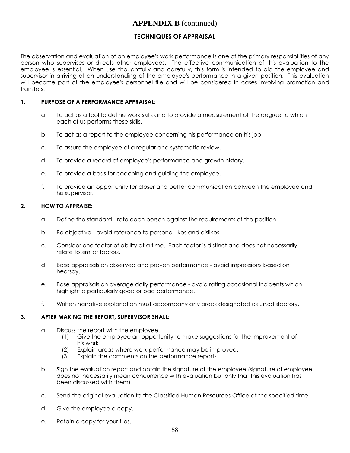# **APPENDIX B** (continued)

# **TECHNIQUES OF APPRAISAL**

The observation and evaluation of an employee's work performance is one of the primary responsibilities of any person who supervises or directs other employees. The effective communication of this evaluation to the employee is essential. When use thoughtfully and carefully, this form is intended to aid the employee and supervisor in arriving at an understanding of the employee's performance in a given position. This evaluation will become part of the employee's personnel file and will be considered in cases involving promotion and transfers.

# **1. PURPOSE OF A PERFORMANCE APPRAISAL:**

- a. To act as a tool to define work skills and to provide a measurement of the degree to which each of us performs these skills.
- b. To act as a report to the employee concerning his performance on his job.
- c. To assure the employee of a regular and systematic review.
- d. To provide a record of employee's performance and growth history.
- e. To provide a basis for coaching and guiding the employee.
- f. To provide an opportunity for closer and better communication between the employee and his supervisor.

#### **2. HOW TO APPRAISE:**

- a. Define the standard rate each person against the requirements of the position.
- b. Be objective avoid reference to personal likes and dislikes.
- c. Consider one factor of ability at a time. Each factor is distinct and does not necessarily relate to similar factors.
- d. Base appraisals on observed and proven performance avoid impressions based on hearsay.
- e. Base appraisals on average daily performance avoid rating occasional incidents which highlight a particularly good or bad performance.
- f. Written narrative explanation must accompany any areas designated as unsatisfactory.

#### **3. AFTER MAKING THE REPORT, SUPERVISOR SHALL:**

- a. Discuss the report with the employee.
	- (1) Give the employee an opportunity to make suggestions for the improvement of his work.
	- (2) Explain areas where work performance may be improved.<br>(3) Explain the comments on the performance reports.
	- Explain the comments on the performance reports.
- b. Sign the evaluation report and obtain the signature of the employee (signature of employee does not necessarily mean concurrence with evaluation but only that this evaluation has been discussed with them).
- c. Send the original evaluation to the Classified Human Resources Office at the specified time.
- d. Give the employee a copy.
- e. Retain a copy for your files.